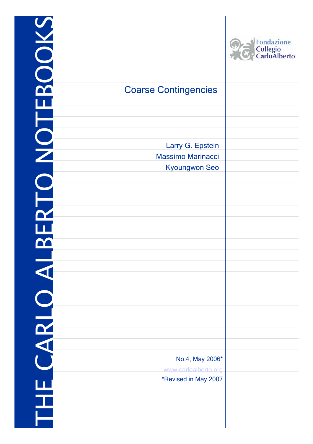| <b>BOOKS</b>         |                             | Fondazione<br>Collegio<br>CarloAlberto |
|----------------------|-----------------------------|----------------------------------------|
|                      |                             |                                        |
|                      | <b>Coarse Contingencies</b> |                                        |
|                      |                             |                                        |
|                      |                             |                                        |
| NO <sup>-</sup>      |                             |                                        |
|                      | Larry G. Epstein            |                                        |
|                      | <b>Massimo Marinacci</b>    |                                        |
|                      | <b>Kyoungwon Seo</b>        |                                        |
|                      |                             |                                        |
|                      |                             |                                        |
|                      |                             |                                        |
| $\mathbf{u}$         |                             |                                        |
|                      |                             |                                        |
|                      |                             |                                        |
|                      |                             |                                        |
| $\blacktriangleleft$ |                             |                                        |
|                      |                             |                                        |
|                      |                             |                                        |
| CARLO                |                             |                                        |
|                      |                             |                                        |
|                      |                             |                                        |
|                      |                             |                                        |
|                      | No.4, May 2006*             |                                        |
|                      | www.carloalberto.org        |                                        |
|                      | *Revised in May 2007        |                                        |
|                      |                             |                                        |
| 또<br>근               |                             |                                        |
|                      |                             |                                        |

-1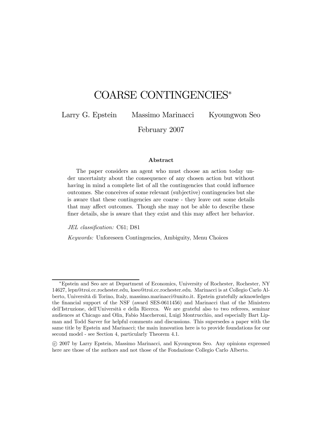# COARSE CONTINGENCIES<sup>∗</sup>

Larry G. Epstein Massimo Marinacci Kyoungwon Seo

February 2007

#### Abstract

The paper considers an agent who must choose an action today under uncertainty about the consequence of any chosen action but without having in mind a complete list of all the contingencies that could influence outcomes. She conceives of some relevant (subjective) contingencies but she is aware that these contingencies are coarse - they leave out some details that may affect outcomes. Though she may not be able to describe these finer details, she is aware that they exist and this may affect her behavior.

JEL classification: C61; D81

Keywords: Unforeseen Contingencies, Ambiguity, Menu Choices

<sup>∗</sup>Epstein and Seo are at Department of Economics, University of Rochester, Rochester, NY 14627, lepn@troi.cc.rochester.edu, kseo@troi.cc.rochester.edu. Marinacci is at Collegio Carlo Alberto, Università di Torino, Italy, massimo.marinacci@unito.it. Epstein gratefully acknowledges the financial support of the NSF (award SES-0611456) and Marinacci that of the Ministero dell'Istruzione, dell'Università e della Ricerca. We are grateful also to two referees, seminar audiences at Chicago and Olin, Fabio Maccheroni, Luigi Montrucchio, and especially Bart Lipman and Todd Sarver for helpful comments and discussions. This supersedes a paper with the same title by Epstein and Marinacci; the main innovation here is to provide foundations for our second model - see Section 4, particularly Theorem 4.1.

<sup>°</sup>c 2007 by Larry Epstein, Massimo Marinacci, and Kyoungwon Seo. Any opinions expressed here are those of the authors and not those of the Fondazione Collegio Carlo Alberto.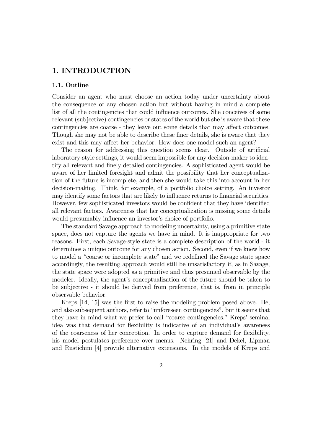### 1. INTRODUCTION

### 1.1. Outline

Consider an agent who must choose an action today under uncertainty about the consequence of any chosen action but without having in mind a complete list of all the contingencies that could influence outcomes. She conceives of some relevant (subjective) contingencies or states of the world but she is aware that these contingencies are coarse - they leave out some details that may affect outcomes. Though she may not be able to describe these finer details, she is aware that they exist and this may affect her behavior. How does one model such an agent?

The reason for addressing this question seems clear. Outside of artificial laboratory-style settings, it would seem impossible for any decision-maker to identify all relevant and finely detailed contingencies. A sophisticated agent would be aware of her limited foresight and admit the possibility that her conceptualization of the future is incomplete, and then she would take this into account in her decision-making. Think, for example, of a portfolio choice setting. An investor may identify some factors that are likely to influence returns to financial securities. However, few sophisticated investors would be confident that they have identified all relevant factors. Awareness that her conceptualization is missing some details would presumably influence an investor's choice of portfolio.

The standard Savage approach to modeling uncertainty, using a primitive state space, does not capture the agents we have in mind. It is inappropriate for two reasons. First, each Savage-style state is a complete description of the world - it determines a unique outcome for any chosen action. Second, even if we knew how to model a "coarse or incomplete state" and we redefined the Savage state space accordingly, the resulting approach would still be unsatisfactory if, as in Savage, the state space were adopted as a primitive and thus presumed observable by the modeler. Ideally, the agent's conceptualization of the future should be taken to be subjective - it should be derived from preference, that is, from in principle observable behavior.

Kreps [14, 15] was the first to raise the modeling problem posed above. He, and also subsequent authors, refer to "unforeseen contingencies", but it seems that they have in mind what we prefer to call "coarse contingencies." Kreps' seminal idea was that demand for flexibility is indicative of an individual's awareness of the coarseness of her conception. In order to capture demand for flexibility, his model postulates preference over menus. Nehring [21] and Dekel, Lipman and Rustichini [4] provide alternative extensions. In the models of Kreps and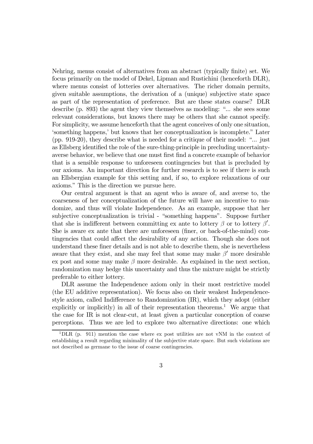Nehring, menus consist of alternatives from an abstract (typically finite) set. We focus primarily on the model of Dekel, Lipman and Rustichini (henceforth DLR), where menus consist of lotteries over alternatives. The richer domain permits, given suitable assumptions, the derivation of a (unique) subjective state space as part of the representation of preference. But are these states coarse? DLR describe (p. 893) the agent they view themselves as modeling: "... she sees some relevant considerations, but knows there may be others that she cannot specify. For simplicity, we assume henceforth that the agent conceives of only one situation, 'something happens,' but knows that her conceptualization is incomplete." Later (pp. 919-20), they describe what is needed for a critique of their model: "... just as Ellsberg identified the role of the sure-thing-principle in precluding uncertaintyaverse behavior, we believe that one must first find a concrete example of behavior that is a sensible response to unforeseen contingencies but that is precluded by our axioms. An important direction for further research is to see if there is such an Ellsbergian example for this setting and, if so, to explore relaxations of our axioms." This is the direction we pursue here.

Our central argument is that an agent who is aware of, and averse to, the coarseness of her conceptualization of the future will have an incentive to randomize, and thus will violate Independence. As an example, suppose that her subjective conceptualization is trivial - "something happens". Suppose further that she is indifferent between committing ex ante to lottery  $\beta$  or to lottery  $\beta'$ . She is aware ex ante that there are unforeseen (finer, or back-of-the-mind) contingencies that could affect the desirability of any action. Though she does not understand these finer details and is not able to describe them, she is nevertheless aware that they exist, and she may feel that some may make  $\beta'$  more desirable ex post and some may make  $\beta$  more desirable. As explained in the next section, randomization may hedge this uncertainty and thus the mixture might be strictly preferable to either lottery.

DLR assume the Independence axiom only in their most restrictive model (the EU additive representation). We focus also on their weakest Independencestyle axiom, called Indifference to Randomization (IR), which they adopt (either explicitly or implicitly) in all of their representation theorems.<sup>1</sup> We argue that the case for IR is not clear-cut, at least given a particular conception of coarse perceptions. Thus we are led to explore two alternative directions: one which

 $1$ DLR (p. 911) mention the case where ex post utilities are not vNM in the context of establishing a result regarding minimality of the subjective state space. But such violations are not described as germane to the issue of coarse contingencies.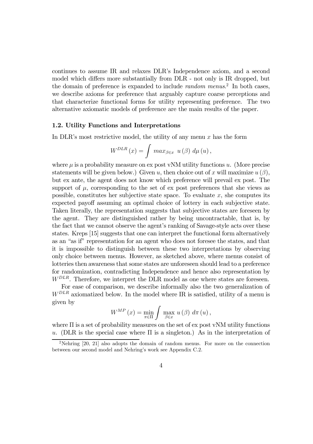continues to assume IR and relaxes DLR's Independence axiom, and a second model which differs more substantially from DLR - not only is IR dropped, but the domain of preference is expanded to include *random menus*.<sup>2</sup> In both cases, we describe axioms for preference that arguably capture coarse perceptions and that characterize functional forms for utility representing preference. The two alternative axiomatic models of preference are the main results of the paper.

#### 1.2. Utility Functions and Interpretations

In DLR's most restrictive model, the utility of any menu  $x$  has the form

$$
W^{DLR}(x) = \int max_{\beta \in x} u(\beta) d\mu(u),
$$

where  $\mu$  is a probability measure on ex post vNM utility functions u. (More precise statements will be given below.) Given u, then choice out of x will maximize  $u(\beta)$ , but ex ante, the agent does not know which preference will prevail ex post. The support of  $\mu$ , corresponding to the set of ex post preferences that she views as possible, constitutes her subjective state space. To evaluate  $x$ , she computes its expected payoff assuming an optimal choice of lottery in each subjective state. Taken literally, the representation suggests that subjective states are foreseen by the agent. They are distinguished rather by being uncontractable, that is, by the fact that we cannot observe the agent's ranking of Savage-style acts over these states. Kreps [15] suggests that one can interpret the functional form alternatively as an "as if" representation for an agent who does not foresee the states, and that it is impossible to distinguish between these two interpretations by observing only choice between menus. However, as sketched above, where menus consist of lotteries then awareness that some states are unforeseen should lead to a preference for randomization, contradicting Independence and hence also representation by  $W^{DLR}$ . Therefore, we interpret the DLR model as one where states are foreseen.

For ease of comparison, we describe informally also the two generalization of  $W^{DLR}$  axiomatized below. In the model where IR is satisfied, utility of a menu is given by

$$
W^{MP}(x) = \min_{\pi \in \Pi} \int \max_{\beta \in x} u(\beta) d\pi(u),
$$

where  $\Pi$  is a set of probability measures on the set of ex post vNM utility functions u. (DLR is the special case where  $\Pi$  is a singleton.) As in the interpretation of

<sup>2</sup>Nehring [20, 21] also adopts the domain of random menus. For more on the connection between our second model and Nehring's work see Appendix C.2.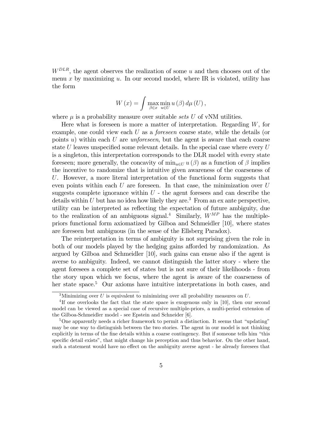$W^{DLR}$ , the agent observes the realization of some u and then chooses out of the menu x by maximizing u. In our second model, where IR is violated, utility has the form

$$
W(x) = \int \max_{\beta \in x} \min_{u \in U} u(\beta) d\mu(U),
$$

where  $\mu$  is a probability measure over suitable sets U of vNM utilities.

Here what is foreseen is more a matter of interpretation. Regarding  $W$ , for example, one could view each  $U$  as a *foreseen* coarse state, while the details (or points u) within each U are *unforeseen*, but the agent is aware that each coarse state  $U$  leaves unspecified some relevant details. In the special case where every  $U$ is a singleton, this interpretation corresponds to the DLR model with every state foreseen; more generally, the concavity of  $\min_{u \in U} u(\beta)$  as a function of  $\beta$  implies the incentive to randomize that is intuitive given awareness of the coarseness of U. However, a more literal interpretation of the functional form suggests that even points within each  $U$  are foreseen. In that case, the minimization over  $U$ suggests complete ignorance within  $U$  - the agent foresees and can describe the details within  $U$  but has no idea how likely they are.<sup>3</sup> From an ex ante perspective, utility can be interpreted as reflecting the expectation of future ambiguity, due to the realization of an ambiguous signal.<sup>4</sup> Similarly,  $W^{MP}$  has the multiplepriors functional form axiomatized by Gilboa and Schmeidler [10], where states are foreseen but ambiguous (in the sense of the Ellsberg Paradox).

The reinterpretation in terms of ambiguity is not surprising given the role in both of our models played by the hedging gains afforded by randomization. As argued by Gilboa and Schmeidler [10], such gains can ensue also if the agent is averse to ambiguity. Indeed, we cannot distinguish the latter story - where the agent foresees a complete set of states but is not sure of their likelihoods - from the story upon which we focus, where the agent is aware of the coarseness of her state space.<sup>5</sup> Our axioms have intuitive interpretations in both cases, and

<sup>&</sup>lt;sup>3</sup>Minimizing over U is equivalent to minimizing over all probability measures on U.

<sup>4</sup> If one overlooks the fact that the state space is exogenous only in [10], then our second model can be viewed as a special case of recursive multiple-priors, a multi-period extension of the Gilboa-Schmeidler model - see Epstein and Schneider [6].

<sup>&</sup>lt;sup>5</sup>One apparently needs a richer framework to permit a distinction. It seems that "updating" may be one way to distinguish between the two stories. The agent in our model is not thinking explicitly in terms of the fine details within a coarse contingency. But if someone tells him "this specific detail exists", that might change his perception and thus behavior. On the other hand, such a statement would have no effect on the ambiguity averse agent - he already foresees that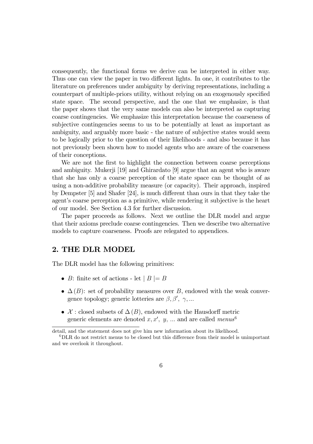consequently, the functional forms we derive can be interpreted in either way. Thus one can view the paper in two different lights. In one, it contributes to the literature on preferences under ambiguity by deriving representations, including a counterpart of multiple-priors utility, without relying on an exogenously specified state space. The second perspective, and the one that we emphasize, is that the paper shows that the very same models can also be interpreted as capturing coarse contingencies. We emphasize this interpretation because the coarseness of subjective contingencies seems to us to be potentially at least as important as ambiguity, and arguably more basic - the nature of subjective states would seem to be logically prior to the question of their likelihoods - and also because it has not previously been shown how to model agents who are aware of the coarseness of their conceptions.

We are not the first to highlight the connection between coarse perceptions and ambiguity. Mukerji [19] and Ghirardato [9] argue that an agent who is aware that she has only a coarse perception of the state space can be thought of as using a non-additive probability measure (or capacity). Their approach, inspired by Dempster [5] and Shafer [24], is much different than ours in that they take the agent's coarse perception as a primitive, while rendering it subjective is the heart of our model. See Section 4.3 for further discussion.

The paper proceeds as follows. Next we outline the DLR model and argue that their axioms preclude coarse contingencies. Then we describe two alternative models to capture coarseness. Proofs are relegated to appendices.

### 2. THE DLR MODEL

The DLR model has the following primitives:

- B: finite set of actions let  $|B| = B$
- $\Delta(B)$ : set of probability measures over B, endowed with the weak convergence topology; generic lotteries are  $\beta, \beta', \gamma, ...$
- $\mathcal{X}$ : closed subsets of  $\Delta(B)$ , endowed with the Hausdorff metric generic elements are denoted  $x, x', y, ...$  and are called  $menus^6$

detail, and the statement does not give him new information about its likelihood.

<sup>6</sup>DLR do not restrict menus to be closed but this difference from their model is unimportant and we overlook it throughout.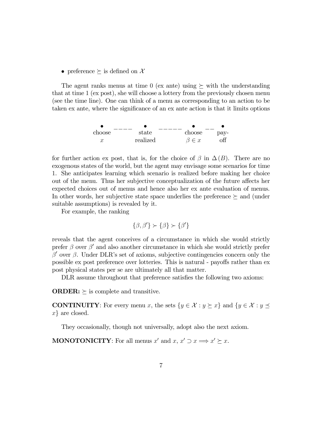• preference  $\succeq$  is defined on X

The agent ranks menus at time 0 (ex ante) using  $\succeq$  with the understanding that at time 1 (ex post), she will choose a lottery from the previously chosen menu (see the time line). One can think of a menu as corresponding to an action to be taken ex ante, where the significance of an ex ante action is that it limits options



for further action ex post, that is, for the choice of  $\beta$  in  $\Delta(B)$ . There are no exogenous states of the world, but the agent may envisage some scenarios for time 1. She anticipates learning which scenario is realized before making her choice out of the menu. Thus her subjective conceptualization of the future affects her expected choices out of menus and hence also her ex ante evaluation of menus. In other words, her subjective state space underlies the preference  $\succeq$  and (under suitable assumptions) is revealed by it.

For example, the ranking

$$
\{\beta,\beta'\}\succ\{\beta\}\succ\{\beta'\}
$$

reveals that the agent conceives of a circumstance in which she would strictly prefer  $\beta$  over  $\beta'$  and also another circumstance in which she would strictly prefer  $β'$  over  $β$ . Under DLR's set of axioms, subjective contingencies concern only the possible ex post preference over lotteries. This is natural - payoffs rather than ex post physical states per se are ultimately all that matter.

DLR assume throughout that preference satisfies the following two axioms:

**ORDER:**  $\succeq$  is complete and transitive.

**CONTINUITY**: For every menu x, the sets  $\{y \in \mathcal{X} : y \succeq x\}$  and  $\{y \in \mathcal{X} : y \preceq x\}$  $x\}$  are closed.

They occasionally, though not universally, adopt also the next axiom.

**MONOTONICITY**: For all menus x' and  $x, x' \supset x \Longrightarrow x' \succeq x$ .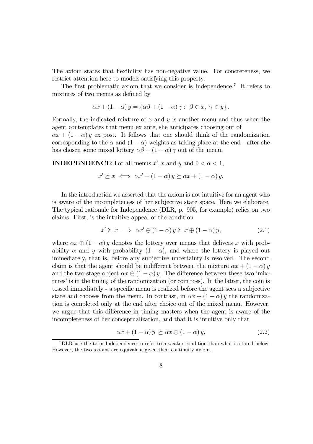The axiom states that flexibility has non-negative value. For concreteness, we restrict attention here to models satisfying this property.

The first problematic axiom that we consider is Independence.7 It refers to mixtures of two menus as defined by

$$
\alpha x + (1 - \alpha) y = \{ \alpha \beta + (1 - \alpha) \gamma : \ \beta \in x, \ \gamma \in y \}.
$$

Formally, the indicated mixture of  $x$  and  $y$  is another menu and thus when the agent contemplates that menu ex ante, she anticipates choosing out of

 $\alpha x + (1 - \alpha) y$  ex post. It follows that one should think of the randomization corresponding to the  $\alpha$  and  $(1 - \alpha)$  weights as taking place at the end - after she has chosen some mixed lottery  $\alpha\beta + (1 - \alpha)\gamma$  out of the menu.

**INDEPENDENCE:** For all menus  $x', x$  and  $y$  and  $0 < \alpha < 1$ ,

$$
x' \succeq x \iff \alpha x' + (1 - \alpha) y \succeq \alpha x + (1 - \alpha) y.
$$

In the introduction we asserted that the axiom is not intuitive for an agent who is aware of the incompleteness of her subjective state space. Here we elaborate. The typical rationale for Independence (DLR, p. 905, for example) relies on two claims. First, is the intuitive appeal of the condition

$$
x' \succeq x \implies \alpha x' \oplus (1 - \alpha) y \succeq x \oplus (1 - \alpha) y,\tag{2.1}
$$

where  $\alpha x \oplus (1 - \alpha) y$  denotes the lottery over menus that delivers x with probability  $\alpha$  and y with probability  $(1 - \alpha)$ , and where the lottery is played out immediately, that is, before any subjective uncertainty is resolved. The second claim is that the agent should be indifferent between the mixture  $\alpha x + (1 - \alpha) y$ and the two-stage object  $\alpha x \oplus (1 - \alpha) y$ . The difference between these two 'mixtures' is in the timing of the randomization (or coin toss). In the latter, the coin is tossed immediately - a specific menu is realized before the agent sees a subjective state and chooses from the menu. In contrast, in  $\alpha x + (1 - \alpha) y$  the randomization is completed only at the end after choice out of the mixed menu. However, we argue that this difference in timing matters when the agent is aware of the incompleteness of her conceptualization, and that it is intuitive only that

$$
\alpha x + (1 - \alpha) y \succeq \alpha x \oplus (1 - \alpha) y,\tag{2.2}
$$

<sup>7</sup>DLR use the term Independence to refer to a weaker condition than what is stated below. However, the two axioms are equivalent given their continuity axiom.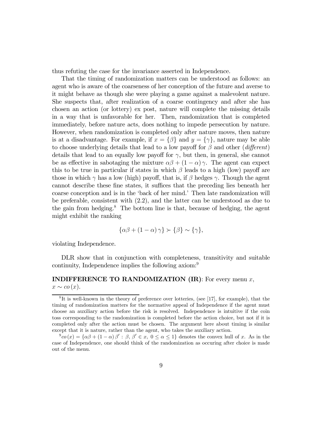thus refuting the case for the invariance asserted in Independence.

That the timing of randomization matters can be understood as follows: an agent who is aware of the coarseness of her conception of the future and averse to it might behave as though she were playing a game against a malevolent nature. She suspects that, after realization of a coarse contingency and after she has chosen an action (or lottery) ex post, nature will complete the missing details in a way that is unfavorable for her. Then, randomization that is completed immediately, before nature acts, does nothing to impede persecution by nature. However, when randomization is completed only after nature moves, then nature is at a disadvantage. For example, if  $x = \{\beta\}$  and  $y = \{\gamma\}$ , nature may be able to choose underlying details that lead to a low payoff for  $\beta$  and other (different) details that lead to an equally low payoff for  $\gamma$ , but then, in general, she cannot be as effective in sabotaging the mixture  $\alpha\beta + (1 - \alpha)\gamma$ . The agent can expect this to be true in particular if states in which  $\beta$  leads to a high (low) payoff are those in which  $\gamma$  has a low (high) payoff, that is, if  $\beta$  hedges  $\gamma$ . Though the agent cannot describe these fine states, it suffices that the preceding lies beneath her coarse conception and is in the 'back of her mind.' Then late randomization will be preferable, consistent with (2.2), and the latter can be understood as due to the gain from hedging.<sup>8</sup> The bottom line is that, because of hedging, the agent might exhibit the ranking

$$
\{\alpha\beta + (1-\alpha)\gamma\} \succ \{\beta\} \sim \{\gamma\},\
$$

violating Independence.

DLR show that in conjunction with completeness, transitivity and suitable continuity, Independence implies the following axiom:9

# **INDIFFERENCE TO RANDOMIZATION (IR):** For every menu  $x$ ,

 $x \sim co(x)$ .

 ${}^{8}$ It is well-known in the theory of preference over lotteries, (see [17], for example), that the timing of randomization matters for the normative appeal of Independence if the agent must choose an auxiliary action before the risk is resolved. Independence is intuitive if the coin toss corresponding to the randomization is completed before the action choice, but not if it is completed only after the action must be chosen. The argument here about timing is similar except that it is nature, rather than the agent, who takes the auxiliary action.

 $\partial^9\alpha(x) = {\alpha\beta + (1-\alpha)\beta': \beta, \beta'\in x, 0 \leq \alpha \leq 1}$  denotes the convex hull of x. As in the case of Independence, one should think of the randomization as occuring after choice is made out of the menu.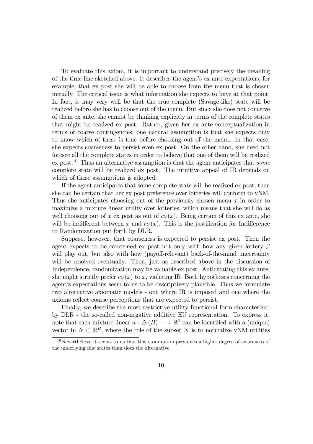To evaluate this axiom, it is important to understand precisely the meaning of the time line sketched above. It describes the agent's ex ante expectations, for example, that ex post she will be able to choose from the menu that is chosen initially. The critical issue is what information she expects to have at that point. In fact, it may very well be that the true complete (Savage-like) state will be realized before she has to choose out of the menu. But since she does not conceive of them ex ante, she cannot be thinking explicitly in terms of the complete states that might be realized ex post. Rather, given her ex ante conceptualization in terms of coarse contingencies, one natural assumption is that she expects only to know which of these is true before choosing out of the menu. In that case, she expects coarseness to persist even ex post. On the other hand, she need not foresee all the complete states in order to believe that one of them will be realized ex post.<sup>10</sup> Thus an alternative assumption is that the agent anticipates that *some* complete state will be realized ex post. The intuitive appeal of IR depends on which of these assumptions is adopted.

If the agent anticipates that some complete state will be realized ex post, then she can be certain that her ex post preference over lotteries will conform to vNM. Thus she anticipates choosing out of the previously chosen menu  $x$  in order to maximize a mixture linear utility over lotteries, which means that she will do as well choosing out of x ex post as out of  $\cos(x)$ . Being certain of this ex ante, she will be indifferent between x and  $\cos(x)$ . This is the justification for Indifference to Randomization put forth by DLR.

Suppose, however, that coarseness is expected to persist ex post. Then the agent expects to be concerned ex post not only with how any given lottery  $\beta$ will play out, but also with how (payoff-relevant) back-of-the-mind uncertainty will be resolved eventually. Then, just as described above in the discussion of Independence, randomization may be valuable ex post. Anticipating this ex ante, she might strictly prefer  $\cos(x)$  to x, violating IR. Both hypotheses concerning the agent's expectations seem to us to be descriptively plausible. Thus we formulate two alternative axiomatic models - one where IR is imposed and one where the axioms reflect coarse perceptions that are expected to persist.

Finally, we describe the most restrictive utility functional form characterized by DLR - the so-called non-negative additive EU representation. To express it, note that each mixture linear  $u : \Delta(B) \longrightarrow \mathbb{R}^1$  can be identified with a (unique) vector in  $N \subset \mathbb{R}^B$ , where the role of the subset N is to normalize vNM utilities

 $10$ Nevertheless, it seems to us that this assumption presumes a higher degree of awareness of the underlying fine states than does the alternative.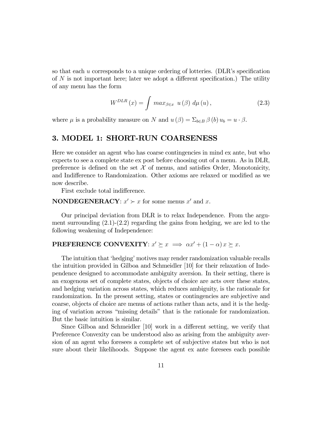so that each u corresponds to a unique ordering of lotteries. (DLR's specification of  $N$  is not important here; later we adopt a different specification.) The utility of any menu has the form

$$
W^{DLR}\left(x\right) = \int \, max_{\beta \in x} \, u\left(\beta\right) \, d\mu\left(u\right),\tag{2.3}
$$

where  $\mu$  is a probability measure on N and  $u(\beta) = \sum_{b \in B} \beta(b) u_b = u \cdot \beta$ .

### 3. MODEL 1: SHORT-RUN COARSENESS

Here we consider an agent who has coarse contingencies in mind ex ante, but who expects to see a complete state ex post before choosing out of a menu. As in DLR, preference is defined on the set  $\mathcal X$  of menus, and satisfies Order, Monotonicity, and Indifference to Randomization. Other axioms are relaxed or modified as we now describe.

First exclude total indifference.

**NONDEGENERACY:**  $x' \succ x$  for some menus  $x'$  and  $x$ .

Our principal deviation from DLR is to relax Independence. From the argument surrounding  $(2.1)-(2.2)$  regarding the gains from hedging, we are led to the following weakening of Independence:

# **PREFERENCE CONVEXITY**:  $x' \succeq x \implies \alpha x' + (1 - \alpha) x \succeq x$ .

The intuition that 'hedging' motives may render randomization valuable recalls the intuition provided in Gilboa and Schmeidler [10] for their relaxation of Independence designed to accommodate ambiguity aversion. In their setting, there is an exogenous set of complete states, objects of choice are acts over these states, and hedging variation across states, which reduces ambiguity, is the rationale for randomization. In the present setting, states or contingencies are subjective and coarse, objects of choice are menus of actions rather than acts, and it is the hedging of variation across "missing details" that is the rationale for randomization. But the basic intuition is similar.

Since Gilboa and Schmeidler [10] work in a different setting, we verify that Preference Convexity can be understood also as arising from the ambiguity aversion of an agent who foresees a complete set of subjective states but who is not sure about their likelihoods. Suppose the agent ex ante foresees each possible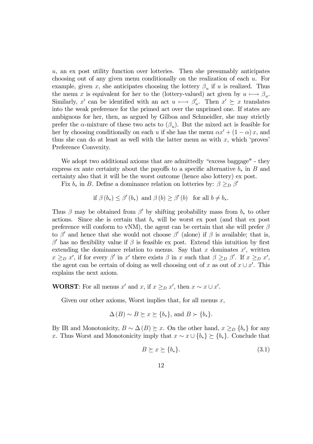u, an ex post utility function over lotteries. Then she presumably anticipates choosing out of any given menu conditionally on the realization of each u. For example, given x, she anticipates choosing the lottery  $\beta_n$  if u is realized. Thus the menu x is equivalent for her to the (lottery-valued) act given by  $u \mapsto \beta_u$ . Similarly, x' can be identified with an act  $u \mapsto \beta'_u$ . Then  $x' \succeq x$  translates into the weak preference for the primed act over the unprimed one. If states are ambiguous for her, then, as argued by Gilboa and Schmeidler, she may strictly prefer the  $\alpha$ -mixture of these two acts to  $(\beta_u)$ . But the mixed act is feasible for her by choosing conditionally on each u if she has the menu  $\alpha x' + (1 - \alpha)x$ , and thus she can do at least as well with the latter menu as with  $x$ , which 'proves' Preference Convexity.

We adopt two additional axioms that are admittedly "excess baggage" - they express ex ante certainty about the payoffs to a specific alternative  $b_*$  in B and certainty also that it will be the worst outcome (hence also lottery) ex post.

Fix  $b_*$  in B. Define a dominance relation on lotteries by:  $\beta \geq_D \beta'$ 

if 
$$
\beta(b_*) \leq \beta'(b_*)
$$
 and  $\beta(b) \geq \beta'(b)$  for all  $b \neq b_*$ .

Thus  $\beta$  may be obtained from  $\beta'$  by shifting probability mass from  $b_*$  to other actions. Since she is certain that  $b_*$  will be worst ex post (and that ex post preference will conform to vNM), the agent can be certain that she will prefer  $\beta$ to β<sup>'</sup> and hence that she would not choose  $\beta'$  (alone) if  $\beta$  is available; that is,  $β'$  has no flexibility value if  $β$  is feasible ex post. Extend this intuition by first extending the dominance relation to menus. Say that x dominates  $x'$ , written  $x \geq_D x'$ , if for every  $\beta'$  in  $x'$  there exists  $\beta$  in x such that  $\beta \geq_D \beta'$ . If  $x \geq_D x'$ , the agent can be certain of doing as well choosing out of x as out of  $x \cup x'$ . This explains the next axiom.

**WORST:** For all menus x' and x, if  $x \geq_D x'$ , then  $x \sim x \cup x'$ .

Given our other axioms, Worst implies that, for all menus  $x$ ,

$$
\Delta(B) \sim B \succeq x \succeq \{b_{*}\}, \text{ and } B \succ \{b_{*}\}.
$$

By IR and Monotonicity,  $B \sim \Delta(B) \succeq x$ . On the other hand,  $x \geq_D \{b_*\}$  for any x. Thus Worst and Monotonicity imply that  $x \sim x \cup \{b_*\} \succeq \{b_*\}$ . Conclude that

$$
B \succeq x \succeq \{b_*\}.\tag{3.1}
$$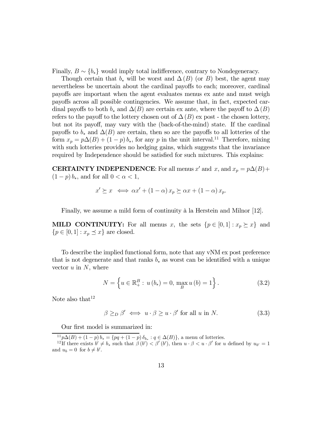Finally,  $B \sim \{b_*\}$  would imply total indifference, contrary to Nondegeneracy.

Though certain that  $b_*$  will be worst and  $\Delta(B)$  (or B) best, the agent may nevertheless be uncertain about the cardinal payoffs to each; moreover, cardinal payoffs are important when the agent evaluates menus ex ante and must weigh payoffs across all possible contingencies. We assume that, in fact, expected cardinal payoffs to both  $b_*$  and  $\Delta(B)$  are certain ex ante, where the payoff to  $\Delta(B)$ refers to the payoff to the lottery chosen out of  $\Delta(B)$  ex post - the chosen lottery, but not its payoff, may vary with the (back-of-the-mind) state. If the cardinal payoffs to  $b_*$  and  $\Delta(B)$  are certain, then so are the payoffs to all lotteries of the form  $x_p = p\Delta(B) + (1-p) b_*$ , for any p in the unit interval.<sup>11</sup> Therefore, mixing with such lotteries provides no hedging gains, which suggests that the invariance required by Independence should be satisfied for such mixtures. This explains:

**CERTAINTY INDEPENDENCE:** For all menus x' and x, and  $x_p = p\Delta(B)$ +  $(1-p) b_*$ , and for all  $0 < \alpha < 1$ ,

$$
x' \succeq x \iff \alpha x' + (1 - \alpha) x_p \succeq \alpha x + (1 - \alpha) x_p.
$$

Finally, we assume a mild form of continuity à la Herstein and Milnor [12].

**MILD CONTINUITY:** For all menus x, the sets  $\{p \in [0,1]: x_p \succeq x\}$  and  ${p \in [0,1]: x_p \preceq x}$  are closed.

To describe the implied functional form, note that any vNM ex post preference that is not degenerate and that ranks  $b_*$  as worst can be identified with a unique vector  $u$  in  $N$ , where

$$
N = \left\{ u \in \mathbb{R}_{+}^{B} : u(b_{*}) = 0, \max_{B} u(b) = 1 \right\}.
$$
 (3.2)

Note also that  $12$ 

$$
\beta \geq_D \beta' \iff u \cdot \beta \geq u \cdot \beta' \text{ for all } u \text{ in } N. \tag{3.3}
$$

Our first model is summarized in:

 $^{11}p\Delta(B) + (1-p)b_* = \{pq + (1-p)\delta_{b_*} : q \in \Delta(B)\}\text{, a menu of lotteries.}$ 

<sup>&</sup>lt;sup>12</sup>If there exists  $b' \neq b_*$  such that  $\beta(b') < \beta'(b')$ , then  $u \cdot \beta < u \cdot \beta'$  for u defined by  $u_{b'} = 1$ and  $u_b = 0$  for  $b \neq b'$ .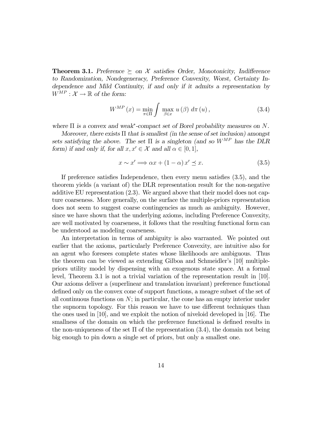**Theorem 3.1.** Preference  $\succeq$  on X satisfies Order, Monotonicity, Indifference to Randomization, Nondegeneracy, Preference Convexity, Worst, Certainty Independence and Mild Continuity, if and only if it admits a representation by  $W^{MP}: \mathcal{X} \to \mathbb{R}$  of the form:

$$
W^{MP}(x) = \min_{\pi \in \Pi} \int \max_{\beta \in x} u(\beta) d\pi(u), \qquad (3.4)
$$

where  $\Pi$  is a convex and weak<sup>\*</sup>-compact set of Borel probability measures on N.

Moreover, there exists  $\Pi$  that is smallest (in the sense of set inclusion) amongst sets satisfying the above. The set  $\Pi$  is a singleton (and so  $W^{MP}$  has the DLR form) if and only if, for all  $x, x' \in \mathcal{X}$  and all  $\alpha \in [0, 1]$ ,

$$
x \sim x' \Longrightarrow \alpha x + (1 - \alpha) x' \preceq x. \tag{3.5}
$$

If preference satisfies Independence, then every menu satisfies (3.5), and the theorem yields (a variant of) the DLR representation result for the non-negative additive EU representation (2.3). We argued above that their model does not capture coarseness. More generally, on the surface the multiple-priors representation does not seem to suggest coarse contingencies as much as ambiguity. However, since we have shown that the underlying axioms, including Preference Convexity, are well motivated by coarseness, it follows that the resulting functional form can be understood as modeling coarseness.

An interpretation in terms of ambiguity is also warranted. We pointed out earlier that the axioms, particularly Preference Convexity, are intuitive also for an agent who foresees complete states whose likelihoods are ambiguous. Thus the theorem can be viewed as extending Gilboa and Schmeidler's [10] multiplepriors utility model by dispensing with an exogenous state space. At a formal level, Theorem 3.1 is not a trivial variation of the representation result in [10]. Our axioms deliver a (superlinear and translation invariant) preference functional defined only on the convex cone of support functions, a meagre subset of the set of all continuous functions on  $N$ ; in particular, the cone has an empty interior under the supnorm topology. For this reason we have to use different techniques than the ones used in [10], and we exploit the notion of niveloid developed in [16]. The smallness of the domain on which the preference functional is defined results in the non-uniqueness of the set  $\Pi$  of the representation (3.4), the domain not being big enough to pin down a single set of priors, but only a smallest one.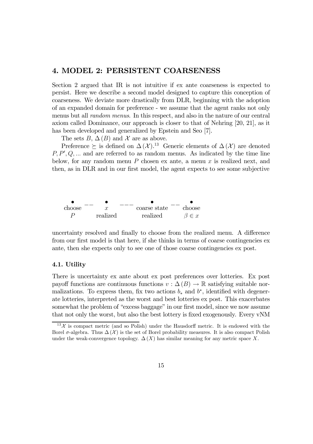### 4. MODEL 2: PERSISTENT COARSENESS

Section 2 argued that IR is not intuitive if ex ante coarseness is expected to persist. Here we describe a second model designed to capture this conception of coarseness. We deviate more drastically from DLR, beginning with the adoption of an expanded domain for preference - we assume that the agent ranks not only menus but all random menus. In this respect, and also in the nature of our central axiom called Dominance, our approach is closer to that of Nehring [20, 21], as it has been developed and generalized by Epstein and Seo [7].

The sets  $B, \Delta(B)$  and X are as above.

Preference  $\succeq$  is defined on  $\Delta(\mathcal{X})$ .<sup>13</sup> Generic elements of  $\Delta(\mathcal{X})$  are denoted  $P, P', Q, \dots$  and are referred to as random menus. As indicated by the time line below, for any random menu  $P$  chosen ex ante, a menu  $x$  is realized next, and then, as in DLR and in our first model, the agent expects to see some subjective



uncertainty resolved and finally to choose from the realized menu. A difference from our first model is that here, if she thinks in terms of coarse contingencies ex ante, then she expects only to see one of those coarse contingencies ex post.

#### 4.1. Utility

There is uncertainty ex ante about ex post preferences over lotteries. Ex post payoff functions are continuous functions  $v : \Delta(B) \to \mathbb{R}$  satisfying suitable normalizations. To express them, fix two actions  $b_*$  and  $b^*$ , identified with degenerate lotteries, interpreted as the worst and best lotteries ex post. This exacerbates somewhat the problem of "excess baggage" in our first model, since we now assume that not only the worst, but also the best lottery is fixed exogenously. Every vNM

 $13\chi$  is compact metric (and so Polish) under the Hausdorff metric. It is endowed with the Borel  $\sigma$ -algebra. Thus  $\Delta(\mathcal{X})$  is the set of Borel probability measures. It is also compact Polish under the weak-convergence topology.  $\Delta(X)$  has similar meaning for any metric space X.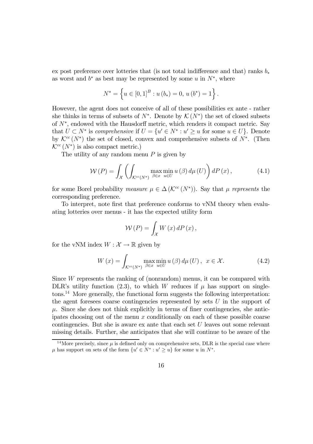ex post preference over lotteries that (is not total indifference and that) ranks  $b_*$ as worst and  $b^*$  as best may be represented by some u in  $N^*$ , where

$$
N^* = \left\{ u \in [0,1]^B : u(b_*) = 0, u(b^*) = 1 \right\}
$$

However, the agent does not conceive of all of these possibilities ex ante - rather she thinks in terms of subsets of  $N^*$ . Denote by  $\mathcal{K}(N^*)$  the set of closed subsets of N∗, endowed with the Hausdorff metric, which renders it compact metric. Say that  $U \subset N^*$  is comprehensive if  $U = \{u' \in N^* : u' \geq u \text{ for some } u \in U\}$ . Denote by  $\mathcal{K}^{cc}(N^*)$  the set of closed, convex and comprehensive subsets of  $N^*$ . (Then  $\mathcal{K}^{cc}(N^*)$  is also compact metric.)

The utility of any random menu  $P$  is given by

$$
\mathcal{W}(P) = \int_{\mathcal{X}} \left( \int_{\mathcal{K}^{cc}(N^*)} \max_{\beta \in x} \min_{u \in U} u(\beta) d\mu(U) \right) dP(x), \tag{4.1}
$$

.

for some Borel probability measure  $\mu \in \Delta(\mathcal{K}^{cc}(N^*))$ . Say that  $\mu$  represents the corresponding preference.

To interpret, note first that preference conforms to vNM theory when evaluating lotteries over menus - it has the expected utility form

$$
W(P) = \int_{\mathcal{X}} W(x) dP(x),
$$

for the vNM index  $W : \mathcal{X} \to \mathbb{R}$  given by

$$
W(x) = \int_{\mathcal{K}^{cc}(N^*)} \max_{\beta \in x} \min_{u \in U} u(\beta) d\mu(U), \quad x \in \mathcal{X}.
$$
 (4.2)

Since  $W$  represents the ranking of (nonrandom) menus, it can be compared with DLR's utility function (2.3), to which W reduces if  $\mu$  has support on singletons.14 More generally, the functional form suggests the following interpretation: the agent foresees coarse contingencies represented by sets  $U$  in the support of  $\mu$ . Since she does not think explicitly in terms of finer contingencies, she anticipates choosing out of the menu x conditionally on each of these possible coarse contingencies. But she is aware ex ante that each set U leaves out some relevant missing details. Further, she anticipates that she will continue to be aware of the

<sup>&</sup>lt;sup>14</sup>More precisely, since  $\mu$  is defined only on comprehensive sets, DLR is the special case where  $\mu$  has support on sets of the form  $\{u' \in N^* : u' \geq u\}$  for some u in  $N^*$ .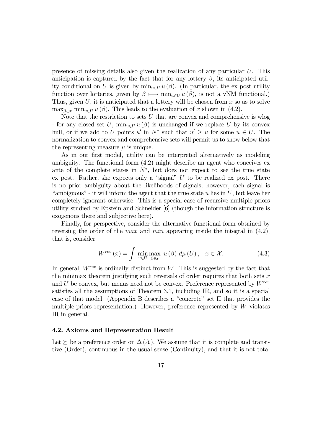presence of missing details also given the realization of any particular  $U$ . This anticipation is captured by the fact that for any lottery  $\beta$ , its anticipated utility conditional on U is given by  $\min_{u \in U} u(\beta)$ . (In particular, the ex post utility function over lotteries, given by  $\beta \mapsto \min_{u \in U} u(\beta)$ , is not a vNM functional.) Thus, given  $U$ , it is anticipated that a lottery will be chosen from  $x$  so as to solve  $\max_{\beta \in x} \min_{u \in U} u(\beta)$ . This leads to the evaluation of x shown in (4.2).

Note that the restriction to sets  $U$  that are convex and comprehensive is wlog - for any closed set U,  $\min_{u \in U} u(\beta)$  is unchanged if we replace U by its convex hull, or if we add to U points u' in  $N^*$  such that  $u' \geq u$  for some  $u \in U$ . The normalization to convex and comprehensive sets will permit us to show below that the representing measure  $\mu$  is unique.

As in our first model, utility can be interpreted alternatively as modeling ambiguity. The functional form (4.2) might describe an agent who conceives ex ante of the complete states in  $N^*$ , but does not expect to see the true state ex post. Rather, she expects only a "signal"  $U$  to be realized ex post. There is no prior ambiguity about the likelihoods of signals; however, each signal is "ambiguous" - it will inform the agent that the true state  $u$  lies in  $U$ , but leave her completely ignorant otherwise. This is a special case of recursive multiple-priors utility studied by Epstein and Schneider [6] (though the information structure is exogenous there and subjective here).

Finally, for perspective, consider the alternative functional form obtained by reversing the order of the *max* and *min* appearing inside the integral in  $(4.2)$ , that is, consider

$$
W^{rev}(x) = \int \min_{u \in U} \max_{\beta \in x} u(\beta) d\mu(U), \quad x \in \mathcal{X}.
$$
 (4.3)

In general,  $W^{rev}$  is ordinally distinct from W. This is suggested by the fact that the minimax theorem justifying such reversals of order requires that both sets  $x$ and U be convex, but menus need not be convex. Preference represented by  $W^{rev}$ satisfies all the assumptions of Theorem 3.1, including IR, and so it is a special case of that model. (Appendix B describes a "concrete" set Π that provides the multiple-priors representation.) However, preference represented by W violates IR in general.

#### 4.2. Axioms and Representation Result

Let  $\succeq$  be a preference order on  $\Delta(\mathcal{X})$ . We assume that it is complete and transitive (Order), continuous in the usual sense (Continuity), and that it is not total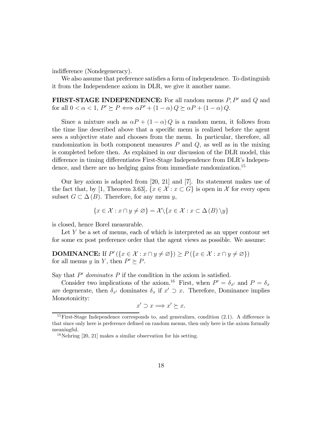indifference (Nondegeneracy).

We also assume that preference satisfies a form of independence. To distinguish it from the Independence axiom in DLR, we give it another name.

**FIRST-STAGE INDEPENDENCE:** For all random menus  $P, P'$  and  $Q$  and for all  $0 < \alpha < 1$ ,  $P' \succeq P \Longleftrightarrow \alpha P' + (1 - \alpha) Q \succeq \alpha P + (1 - \alpha) Q$ .

Since a mixture such as  $\alpha P + (1 - \alpha) Q$  is a random menu, it follows from the time line described above that a specific menu is realized before the agent sees a subjective state and chooses from the menu. In particular, therefore, all randomization in both component measures  $P$  and  $Q$ , as well as in the mixing is completed before then. As explained in our discussion of the DLR model, this difference in timing differentiates First-Stage Independence from DLR's Independence, and there are no hedging gains from immediate randomization.<sup>15</sup>

Our key axiom is adapted from [20, 21] and [7]. Its statement makes use of the fact that, by [1, Theorem 3.63],  $\{x \in \mathcal{X} : x \subset G\}$  is open in X for every open subset  $G \subset \Delta(B)$ . Therefore, for any menu y,

$$
\{x \in \mathcal{X} : x \cap y \neq \varnothing\} = \mathcal{X} \setminus \{x \in \mathcal{X} : x \subset \Delta(B) \setminus y\}
$$

is closed, hence Borel measurable.

Let  $Y$  be a set of menus, each of which is interpreted as an upper contour set for some ex post preference order that the agent views as possible. We assume:

**DOMINANCE:** If  $P'(\lbrace x \in \mathcal{X} : x \cap y \neq \emptyset \rbrace) \geq P(\lbrace x \in \mathcal{X} : x \cap y \neq \emptyset \rbrace)$ for all menus y in Y, then  $P' \succeq P$ .

Say that  $P'$  dominates  $P$  if the condition in the axiom is satisfied.

Consider two implications of the axiom.<sup>16</sup> First, when  $P' = \delta_{x'}$  and  $P = \delta_x$ are degenerate, then  $\delta_{x'}$  dominates  $\delta_x$  if  $x' \supset x$ . Therefore, Dominance implies Monotonicity:

$$
x' \supset x \Longrightarrow x' \succeq x.
$$

<sup>&</sup>lt;sup>15</sup>First-Stage Independence corresponds to, and generalizes, condition  $(2.1)$ . A difference is that since only here is preference defined on random menus, then only here is the axiom formally meaningful.

 $16$ Nehring [20, 21] makes a similar observation for his setting.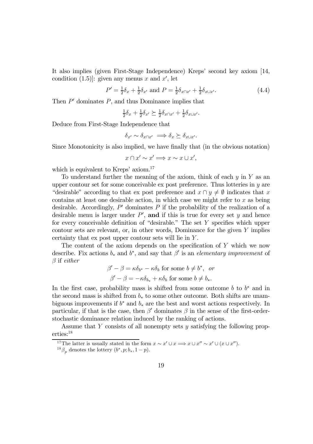It also implies (given First-Stage Independence) Kreps' second key axiom [14, condition (1.5)]: given any menus x and  $x'$ , let

$$
P' = \frac{1}{2}\delta_x + \frac{1}{2}\delta_{x'} \text{ and } P = \frac{1}{2}\delta_{x \cap x'} + \frac{1}{2}\delta_{x \cup x'}.
$$
 (4.4)

Then  $P'$  dominates  $P$ , and thus Dominance implies that

$$
\frac{1}{2}\delta_x + \frac{1}{2}\delta_{x'} \succeq \frac{1}{2}\delta_{x \cap x'} + \frac{1}{2}\delta_{x \cup x'}.
$$

Deduce from First-Stage Independence that

$$
\delta_{x'} \sim \delta_{x \cap x'} \implies \delta_x \succeq \delta_{x \cup x'}.
$$

Since Monotonicity is also implied, we have finally that (in the obvious notation)

$$
x \cap x' \sim x' \Longrightarrow x \sim x \cup x',
$$

which is equivalent to Kreps' axiom.<sup>17</sup>

To understand further the meaning of the axiom, think of each  $y$  in Y as an upper contour set for some conceivable  $ex$  post preference. Thus lotteries in  $y$  are "desirable" according to that ex post preference and  $x \cap y \neq \emptyset$  indicates that x contains at least one desirable action, in which case we might refer to  $x$  as being desirable. Accordingly,  $P'$  dominates  $P$  if the probability of the realization of a desirable menu is larger under  $P'$ , and if this is true for every set y and hence for every conceivable definition of "desirable." The set  $Y$  specifies which upper contour sets are relevant, or, in other words, Dominance for the given  $Y$  implies certainty that ex post upper contour sets will lie in Y .

The content of the axiom depends on the specification of Y which we now describe. Fix actions  $b_*$  and  $b^*$ , and say that  $\beta'$  is an elementary improvement of  $\beta$  if either

$$
\beta' - \beta = \kappa \delta_{b^*} - \kappa \delta_b \text{ for some } b \neq b^*, \text{ or}
$$

$$
\beta' - \beta = -\kappa \delta_{b_*} + \kappa \delta_b \text{ for some } b \neq b_*.
$$

In the first case, probability mass is shifted from some outcome b to  $b^*$  and in the second mass is shifted from  $b_*$  to some other outcome. Both shifts are unambiguous improvements if  $b^*$  and  $b_*$  are the best and worst actions respectively. In particular, if that is the case, then  $\beta'$  dominates  $\beta$  in the sense of the first-orderstochastic dominance relation induced by the ranking of actions.

Assume that Y consists of all nonempty sets  $y$  satisfying the following properties:18

<sup>&</sup>lt;sup>17</sup>The latter is usually stated in the form  $x \sim x' \cup x \Longrightarrow x \cup x'' \sim x' \cup (x \cup x'')$ . <sup>18</sup> $\beta_n$  denotes the lottery  $(b^*, p; b_*, 1 - p)$ .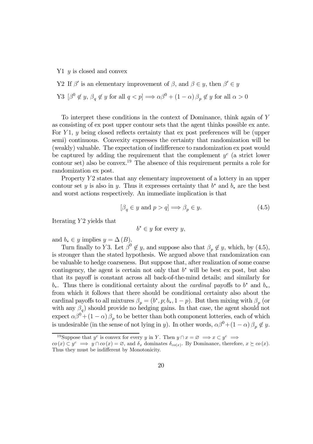$Y1$  y is closed and convex

Y2 If  $\beta'$  is an elementary improvement of  $\beta$ , and  $\beta \in y$ , then  $\beta' \in y$ Y3  $[\beta^0 \notin y, \beta_q \notin y \text{ for all } q < p] \Longrightarrow \alpha \beta^0 + (1 - \alpha) \beta_p \notin y \text{ for all } \alpha > 0$ 

To interpret these conditions in the context of Dominance, think again of Y as consisting of ex post upper contour sets that the agent thinks possible ex ante. For  $Y_1$ , y being closed reflects certainty that ex post preferences will be (upper semi) continuous. Convexity expresses the certainty that randomization will be (weakly) valuable. The expectation of indifference to randomization ex post would be captured by adding the requirement that the complement  $y^c$  (a strict lower contour set) also be convex.19 The absence of this requirement permits a role for randomization ex post.

Property  $Y2$  states that any elementary improvement of a lottery in an upper contour set y is also in y. Thus it expresses certainty that  $b^*$  and  $b_*$  are the best and worst actions respectively. An immediate implication is that

$$
[\beta_q \in y \text{ and } p > q] \Longrightarrow \beta_p \in y. \tag{4.5}
$$

Iterating  $Y2$  yields that

$$
b^* \in y \text{ for every } y,
$$

and  $b_* \in y$  implies  $y = \Delta(B)$ .

Turn finally to Y3. Let  $\beta^0 \notin y$ , and suppose also that  $\beta_p \notin y$ , which, by (4.5), is stronger than the stated hypothesis. We argued above that randomization can be valuable to hedge coarseness. But suppose that, after realization of some coarse contingency, the agent is certain not only that  $b^*$  will be best ex post, but also that its payoff is constant across all back-of-the-mind details; and similarly for  $b_*$ . Thus there is conditional certainty about the *cardinal* payoffs to  $b^*$  and  $b_*$ , from which it follows that there should be conditional certainty also about the cardinal payoffs to all mixtures  $\beta_p = (b^*, p; b_*, 1-p)$ . But then mixing with  $\beta_p$  (or with any  $\beta_q$ ) should provide no hedging gains. In that case, the agent should not expect  $\alpha\beta^0 + (1 - \alpha)\beta_p$  to be better than both component lotteries, each of which is undesirable (in the sense of not lying in y). In other words,  $\alpha\beta^{0}+(1-\alpha)\beta_{n}\notin y$ .

<sup>&</sup>lt;sup>19</sup>Suppose that y<sup>c</sup> is convex for every y in Y. Then  $y \cap x = \emptyset \implies x \subset y^c \implies$ 

 $co(x) \subset y^c \implies y \cap co(x) = \emptyset$ , and  $\delta_x$  dominates  $\delta_{co(x)}$ . By Dominance, therefore,  $x \succeq co(x)$ . Thus they must be indifferent by Monotonicity.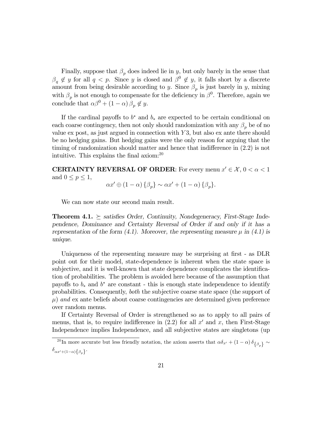Finally, suppose that  $\beta_p$  does indeed lie in y, but only barely in the sense that  $\beta_q \notin y$  for all  $q < p$ . Since y is closed and  $\beta^0 \notin y$ , it falls short by a discrete amount from being desirable according to y. Since  $\beta_p$  is just barely in y, mixing with  $\beta_p$  is not enough to compensate for the deficiency in  $\beta^0$ . Therefore, again we conclude that  $\alpha\beta^0 + (1-\alpha)\beta_p \notin y$ .

If the cardinal payoffs to  $b^*$  and  $b_*$  are expected to be certain conditional on each coarse contingency, then not only should randomization with any  $\beta_n$  be of no value  $ex$  post, as just argued in connection with  $Y3$ , but also  $ex$  ante there should be no hedging gains. But hedging gains were the only reason for arguing that the timing of randomization should matter and hence that indifference in (2.2) is not intuitive. This explains the final axiom:20

**CERTAINTY REVERSAL OF ORDER:** For every menu  $x' \in \mathcal{X}, 0 < \alpha < 1$ and  $0 \leq p \leq 1$ ,

$$
\alpha x' \oplus (1 - \alpha) \{\beta_p\} \sim \alpha x' + (1 - \alpha) \{\beta_p\}.
$$

We can now state our second main result.

**Theorem 4.1.**  $\succeq$  satisfies Order, Continuity, Nondegeneracy, First-Stage Independence, Dominance and Certainty Reversal of Order if and only if it has a representation of the form (4.1). Moreover, the representing measure  $\mu$  in (4.1) is unique.

Uniqueness of the representing measure may be surprising at first - as DLR point out for their model, state-dependence is inherent when the state space is subjective, and it is well-known that state dependence complicates the identification of probabilities. The problem is avoided here because of the assumption that payoffs to  $b_*$  and  $b^*$  are constant - this is enough state independence to identify probabilities. Consequently, both the subjective coarse state space (the support of  $\mu$ ) and ex ante beliefs about coarse contingencies are determined given preference over random menus.

If Certainty Reversal of Order is strengthened so as to apply to all pairs of menus, that is, to require indifference in  $(2.2)$  for all x' and x, then First-Stage Independence implies Independence, and all subjective states are singletons (up

<sup>&</sup>lt;sup>20</sup> In more accurate but less friendly notation, the axiom asserts that  $\alpha \delta_{x'} + (1 - \alpha) \delta_{\{\beta_p\}} \sim$  $\delta_{\alpha x' + (1-\alpha)\{\beta_p\}}$ .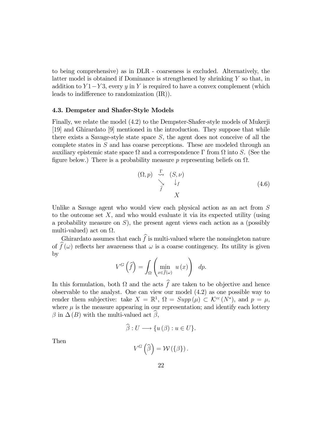to being comprehensive) as in DLR - coarseness is excluded. Alternatively, the latter model is obtained if Dominance is strengthened by shrinking Y so that, in addition to  $Y1-Y3$ , every y in Y is required to have a convex complement (which leads to indifference to randomization (IR)).

#### 4.3. Dempster and Shafer-Style Models

Finally, we relate the model (4.2) to the Dempster-Shafer-style models of Mukerji [19] and Ghirardato [9] mentioned in the introduction. They suppose that while there exists a Savage-style state space  $S$ , the agent does not conceive of all the complete states in S and has coarse perceptions. These are modeled through an auxiliary epistemic state space  $Ω$  and a correspondence Γ from  $Ω$  into S. (See the figure below.) There is a probability measure p representing beliefs on  $\Omega$ .

$$
(\Omega, p) \xrightarrow{\Gamma} (S, \nu) \n\searrow \qquad \downarrow_{f} \nX
$$
\n(4.6)

Unlike a Savage agent who would view each physical action as an act from S to the outcome set  $X$ , and who would evaluate it via its expected utility (using a probability measure on  $S$ ), the present agent views each action as a (possibly multi-valued) act on  $\Omega$ .

Ghirardato assumes that each  $f$  is multi-valued where the nonsingleton nature of  $f(\omega)$  reflects her awareness that  $\omega$  is a coarse contingency. Its utility is given by

$$
V^G\left(\widehat{f}\right) = \int_{\Omega} \left(\min_{x \in \widehat{f}(\omega)} u(x)\right) dp.
$$

In this formulation, both  $\Omega$  and the acts f are taken to be objective and hence observable to the analyst. One can view our model (4.2) as one possible way to render them subjective: take  $X = \mathbb{R}^1$ ,  $\Omega = \text{Supp}(\mu) \subset \mathcal{K}^{cc}(N^*)$ , and  $p = \mu$ , where  $\mu$  is the measure appearing in our representation; and identify each lottery  $\beta$  in  $\Delta(B)$  with the multi-valued act  $\beta$ ,

$$
\hat{\beta}: U \longrightarrow \{u(\beta): u \in U\}.
$$

Then

$$
V^G\left(\widehat{\beta}\right) = \mathcal{W}\left(\{\beta\}\right).
$$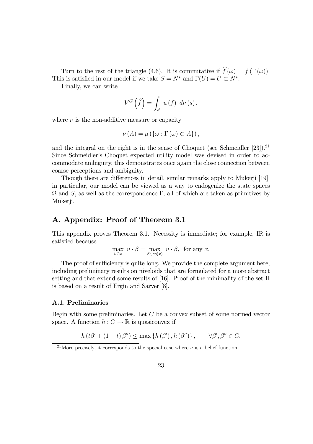Turn to the rest of the triangle (4.6). It is commutative if  $f(\omega) = f(\Gamma(\omega))$ . This is satisfied in our model if we take  $S = N^*$  and  $\Gamma(U) = U \subset N^*$ .

Finally, we can write

$$
V^G\left(\widehat{f}\right) = \int_S u\left(f\right) d\nu\left(s\right),\,
$$

where  $\nu$  is the non-additive measure or capacity

$$
\nu(A) = \mu\left(\left\{\omega : \Gamma\left(\omega\right) \subset A\right\}\right),\
$$

and the integral on the right is in the sense of Choquet (see Schmeidler  $[23]$ ).<sup>21</sup> Since Schmeidler's Choquet expected utility model was devised in order to accommodate ambiguity, this demonstrates once again the close connection between coarse perceptions and ambiguity.

Though there are differences in detail, similar remarks apply to Mukerji [19]; in particular, our model can be viewed as a way to endogenize the state spaces  $\Omega$  and S, as well as the correspondence Γ, all of which are taken as primitives by Mukerji.

### A. Appendix: Proof of Theorem 3.1

This appendix proves Theorem 3.1. Necessity is immediate; for example, IR is satisfied because

$$
\max_{\beta \in x} u \cdot \beta = \max_{\beta \in co(x)} u \cdot \beta, \text{ for any } x.
$$

The proof of sufficiency is quite long. We provide the complete argument here, including preliminary results on niveloids that are formulated for a more abstract setting and that extend some results of [16]. Proof of the minimality of the set  $\Pi$ is based on a result of Ergin and Sarver [8].

#### A.1. Preliminaries

Begin with some preliminaries. Let  $C$  be a convex subset of some normed vector space. A function  $h: C \to \mathbb{R}$  is quasiconvex if

$$
h(t\beta' + (1-t)\beta'') \leq \max\left\{h(\beta'), h(\beta'')\right\}, \qquad \forall \beta', \beta'' \in C.
$$

<sup>&</sup>lt;sup>21</sup>More precisely, it corresponds to the special case where  $\nu$  is a belief function.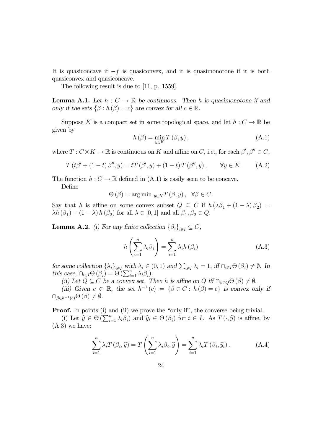It is quasiconcave if  $-f$  is quasiconvex, and it is quasimonotone if it is both quasiconvex and quasiconcave.

The following result is due to [11, p. 1559].

**Lemma A.1.** Let  $h: C \to \mathbb{R}$  be continuous. Then h is quasimonotone if and only if the sets  $\{\beta : h(\beta) = c\}$  are convex for all  $c \in \mathbb{R}$ .

Suppose K is a compact set in some topological space, and let  $h: C \to \mathbb{R}$  be given by

$$
h(\beta) = \min_{y \in K} T(\beta, y), \qquad (A.1)
$$

where  $T: C \times K \to \mathbb{R}$  is continuous on K and affine on C, i.e., for each  $\beta', \beta'' \in C$ ,

$$
T(t\beta' + (1-t)\beta'', y) = tT(\beta', y) + (1-t)T(\beta'', y), \qquad \forall y \in K. \tag{A.2}
$$

The function  $h: C \to \mathbb{R}$  defined in  $(A.1)$  is easily seen to be concave.

Define

 $\Theta(\beta) = \arg \min_{y \in K} T(\beta, y), \ \ \forall \beta \in C.$ 

Say that h is affine on some convex subset  $Q \subseteq C$  if  $h(\lambda \beta_1 + (1 - \lambda) \beta_2) =$  $\lambda h(\beta_1) + (1 - \lambda) h(\beta_2)$  for all  $\lambda \in [0, 1]$  and all  $\beta_1, \beta_2 \in Q$ .

**Lemma A.2.** (i) For any finite collection  $\{\beta_i\}_{i\in I} \subseteq C$ ,

$$
h\left(\sum_{i=1}^{n} \lambda_{i} \beta_{i}\right) = \sum_{i=1}^{n} \lambda_{i} h\left(\beta_{i}\right)
$$
\n(A.3)

for some collection  $\{\lambda_i\}_{i\in I}$  with  $\lambda_i \in (0,1)$  and  $\sum_{i\in I} \lambda_i = 1$ , iff  $\cap_{i\in I} \Theta(\beta_i) \neq \emptyset$ . In this case,  $\bigcap_{i\in I}\Theta\left(\beta_{i}\right)=\Theta\left(\sum_{i=1}^{n}\lambda_{i}\beta_{i}\right).$ 

(ii) Let  $Q \subseteq C$  be a convex set. Then h is affine on Q iff  $\cap_{\beta \in Q} \Theta(\beta) \neq \emptyset$ .

(iii) Given  $c \in \mathbb{R}$ , the set  $h^{-1}(c) = {\beta \in C : h(\beta) = c}$  is convex only if  $\cap_{\beta \in h^{-1}(c)} \Theta (\beta) \neq \emptyset.$ 

**Proof.** In points (i) and (ii) we prove the "only if", the converse being trivial.

(i) Let  $\hat{y} \in \Theta(\sum_{i=1}^n \lambda_i \beta_i)$  and  $\hat{y}_i \in \Theta(\beta_i)$  for  $i \in I$ . As  $T(\cdot, \hat{y})$  is affine, by (A.3) we have:

$$
\sum_{i=1}^{n} \lambda_i T(\beta_i, \widehat{y}) = T\left(\sum_{i=1}^{n} \lambda_i \beta_i, \widehat{y}\right) = \sum_{i=1}^{n} \lambda_i T(\beta_i, \widehat{y}_i).
$$
 (A.4)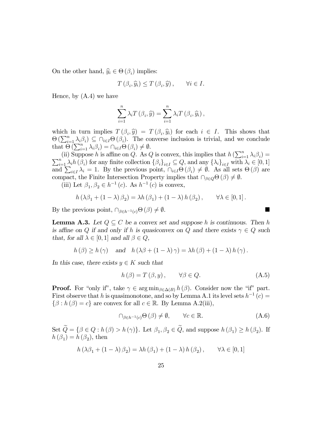On the other hand,  $\widehat{y}_i \in \Theta(\beta_i)$  implies:

$$
T(\beta_i, \widehat{y}_i) \le T(\beta_i, \widehat{y}), \qquad \forall i \in I.
$$

Hence, by (A.4) we have

$$
\sum_{i=1}^{n} \lambda_i T(\beta_i, \widehat{y}) = \sum_{i=1}^{n} \lambda_i T(\beta_i, \widehat{y}_i),
$$

which in turn implies  $T(\beta_i, \hat{y}) = T(\beta_i, \hat{y}_i)$  for each  $i \in I$ . This shows that  $\Theta\left(\sum_{i=1}^n \lambda_i \beta_i\right) \subseteq \bigcap_{i \in I} \Theta\left(\beta_i\right)$ . The converse inclusion is trivial, and we conclude that  $\Theta\left(\sum_{i=1}^n \lambda_i \beta_i\right) = \bigcap_{i \in I} \Theta\left(\beta_i\right) \neq \emptyset$ .

(ii) Suppose h is affine on Q. As Q is convex, this implies that  $h\left(\sum_{i=1}^n \lambda_i \beta_i\right) =$  $\sum_{i=1}^{n} \lambda_i h(\beta_i)$  for any finite collection  $\{\beta_i\}_{i\in I} \subseteq Q$ , and any  $\{\lambda_i\}_{i\in I}$  with  $\lambda_i \in [0, 1]$ and  $\sum_{i\in I}\lambda_i = 1$ . By the previous point,  $\bigcap_{i\in I}\Theta(\beta_i) \neq \emptyset$ . As all sets  $\Theta(\beta)$  are compact, the Finite Intersection Property implies that  $\cap_{\beta\in Q}\Theta(\beta)\neq\emptyset$ .

(iii) Let  $\beta_1, \beta_2 \in h^{-1}(c)$ . As  $h^{-1}(c)$  is convex,

$$
h(\lambda\beta_1 + (1-\lambda)\beta_2) = \lambda h(\beta_1) + (1-\lambda) h(\beta_2), \qquad \forall \lambda \in [0,1].
$$

By the previous point,  $\cap_{\beta \in h^{-1}(c)} \Theta(\beta) \neq \emptyset$ .

**Lemma A.3.** Let  $Q \subseteq C$  be a convex set and suppose h is continuous. Then h is affine on Q if and only if h is quasiconvex on Q and there exists  $\gamma \in Q$  such that, for all  $\lambda \in [0,1]$  and all  $\beta \in Q$ ,

$$
h(\beta) \ge h(\gamma)
$$
 and  $h(\lambda\beta + (1 - \lambda)\gamma) = \lambda h(\beta) + (1 - \lambda) h(\gamma)$ .

In this case, there exists  $y \in K$  such that

$$
h(\beta) = T(\beta, y), \qquad \forall \beta \in Q. \tag{A.5}
$$

**Proof.** For "only if", take  $\gamma \in \arg \min_{\beta \in \Delta(B)} h(\beta)$ . Consider now the "if" part. First observe that h is quasimonotone, and so by Lemma A.1 its level sets  $h^{-1}(c)$  =  $\{\beta : h(\beta) = c\}$  are convex for all  $c \in \mathbb{R}$ . By Lemma A.2(iii),

$$
\bigcap_{\beta \in h^{-1}(c)} \Theta\left(\beta\right) \neq \emptyset, \qquad \forall c \in \mathbb{R}.\tag{A.6}
$$

Set  $\widetilde{Q} = \{\beta \in Q : h(\beta) > h(\gamma)\}\$ . Let  $\beta_1, \beta_2 \in \widetilde{Q}$ , and suppose  $h(\beta_1) \ge h(\beta_2)$ . If  $h(\beta_1) = h(\beta_2)$ , then

$$
h(\lambda \beta_1 + (1 - \lambda) \beta_2) = \lambda h(\beta_1) + (1 - \lambda) h(\beta_2), \qquad \forall \lambda \in [0, 1]
$$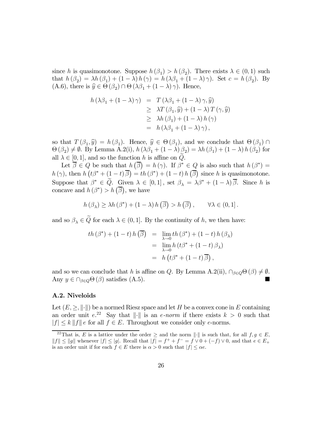since h is quasimonotone. Suppose  $h(\beta_1) > h(\beta_2)$ . There exists  $\lambda \in (0,1)$  such that  $h(\beta_2) = \lambda h(\beta_1) + (1 - \lambda) h(\gamma) = h(\lambda \beta_1 + (1 - \lambda) \gamma)$ . Set  $c = h(\beta_2)$ . By (A.6), there is  $\hat{y} \in \Theta (\beta_2) \cap \Theta (\lambda \beta_1 + (1 - \lambda) \gamma)$ . Hence,

$$
h(\lambda \beta_1 + (1 - \lambda) \gamma) = T(\lambda \beta_1 + (1 - \lambda) \gamma, \hat{y})
$$
  
\n
$$
\geq \lambda T(\beta_1, \hat{y}) + (1 - \lambda) T(\gamma, \hat{y})
$$
  
\n
$$
\geq \lambda h(\beta_1) + (1 - \lambda) h(\gamma)
$$
  
\n
$$
= h(\lambda \beta_1 + (1 - \lambda) \gamma),
$$

so that  $T(\beta_1, \hat{y}) = h(\beta_1)$ . Hence,  $\hat{y} \in \Theta(\beta_1)$ , and we conclude that  $\Theta(\beta_1) \cap$  $\Theta (\beta_2) \neq \emptyset$ . By Lemma A.2(i),  $h (\lambda \beta_1 + (1 - \lambda) \beta_2) = \lambda h (\beta_1) + (1 - \lambda) h (\beta_2)$  for all  $\lambda \in [0, 1]$ , and so the function h is affine on  $Q$ .

Let  $\overline{\beta} \in Q$  be such that  $h(\overline{\beta}) = h(\gamma)$ . If  $\beta^* \in Q$  is also such that  $h(\beta^*) =$  $h(\gamma)$ , then  $h\left(t\beta^* + \left(1-t\right)\overline{\beta}\right) = th\left(\beta^*\right) + \left(1-t\right)h\left(\overline{\beta}\right)$  since h is quasimonotone. Suppose that  $\beta^* \in \tilde{Q}$ . Given  $\lambda \in [0,1]$ , set  $\beta_{\lambda} = \lambda \beta^* + (1-\lambda)\overline{\beta}$ . Since h is concave and  $h(\beta^*) > h(\overline{\beta})$ , we have

$$
h(\beta_{\lambda}) \geq \lambda h(\beta^*) + (1 - \lambda) h(\overline{\beta}) > h(\overline{\beta}), \qquad \forall \lambda \in (0, 1].
$$

and so  $\beta_{\lambda} \in \tilde{Q}$  for each  $\lambda \in (0,1]$ . By the continuity of h, we then have:

$$
th (\beta^*) + (1-t) h (\overline{\beta}) = \lim_{\lambda \to 0} th (\beta^*) + (1-t) h (\beta_{\lambda})
$$
  
= 
$$
\lim_{\lambda \to 0} h (t \beta^* + (1-t) \beta_{\lambda})
$$
  
= 
$$
h (t \beta^* + (1-t) \overline{\beta}),
$$

and so we can conclude that h is affine on Q. By Lemma A.2(ii),  $\cap_{\beta\in Q}\Theta(\beta)\neq\emptyset$ . Any  $y \in \bigcap_{\beta \in Q} \Theta(\beta)$  satisfies (A.5).

#### A.2. Niveloids

Let  $(E, \ge, ||\cdot||)$  be a normed Riesz space and let H be a convex cone in E containing an order unit  $e^{2^z}$ . Say that  $\|\cdot\|$  is an e-norm if there exists  $k > 0$  such that  $|f| \le k \|f\| e$  for all  $f \in E$ . Throughout we consider only e-norms.

<sup>&</sup>lt;sup>22</sup>That is, E is a lattice under the order  $\geq$  and the norm  $\|\cdot\|$  is such that, for all  $f,g \in E$ ,  $||f|| \le ||g||$  whenever  $|f| \le |g|$ . Recall that  $|f| = f^+ + f^- = f \vee 0 + (-f) \vee 0$ , and that  $e \in E_+$ is an order unit if for each  $f \in E$  there is  $\alpha > 0$  such that  $|f| \leq \alpha e$ .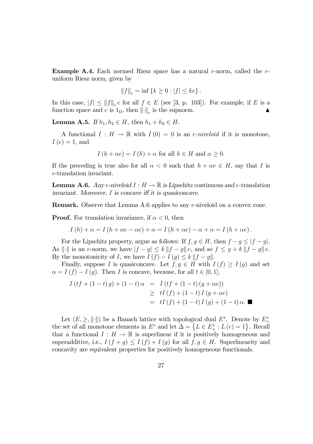**Example A.4.** Each normed Riesz space has a natural e-norm, called the  $e$ uniform Riesz norm, given by

$$
||f||_e = inf \{ k \ge 0 : |f| \le ke \}.
$$

In this case,  $|f| \le ||f||_e e$  for all  $f \in E$  (see [3, p. 103]). For example, if E is a function space and e is  $1_{\Omega}$ , then  $\left\|\cdot\right\|_e$  is the supnorm.

**Lemma A.5.** If  $h_1, h_2 \in H$ , then  $h_1 + h_2 \in H$ .

A functional  $I : H \to \mathbb{R}$  with  $I(0) = 0$  is an *e-niveloid* if it is monotone,  $I(e)=1$ , and

$$
I(h + \alpha e) = I(h) + \alpha \text{ for all } h \in H \text{ and } \alpha \ge 0.
$$

If the preceding is true also for all  $\alpha < 0$  such that  $h + \alpha e \in H$ , say that I is e-translation invariant.

**Lemma A.6.** Any e-niveloid  $I : H \to \mathbb{R}$  is Lipschitz continuous and e-translation invariant. Moreover, I is concave iff it is quasiconcave.

Remark. Observe that Lemma A.6 applies to any e-niveloid on a convex cone.

**Proof.** For translation invariance, if  $\alpha < 0$ , then

$$
I(h) + \alpha = I(h + \alpha e - \alpha e) + \alpha = I(h + \alpha e) - \alpha + \alpha = I(h + \alpha e).
$$

For the Lipschitz property, argue as follows: If  $f, g \in H$ , then  $f - g \leq |f - g|$ . As  $\|\cdot\|$  is an e-norm, we have  $|f - g| \le k \|f - g\|e$ , and so  $f \le g + k \|f - g\|e$ . By the monotonicity of I, we have  $I(f) - I(g) \leq k ||f - g||$ .

Finally, suppose I is quasiconcave. Let  $f,g \in H$  with  $I(f) \geq I(g)$  and set  $\alpha = I(f) - I(g)$ . Then I is concave, because, for all  $t \in [0, 1]$ ,

$$
I(t f + (1 - t) g) + (1 - t) \alpha = I(t f + (1 - t) (g + \alpha e))
$$
  
\n
$$
\geq t I(f) + (1 - t) I(g + \alpha e)
$$
  
\n
$$
= t I(f) + (1 - t) I(g) + (1 - t) \alpha.
$$

Let  $(E, \geq, \|\cdot\|)$  be a Banach lattice with topological dual  $E^*$ . Denote by  $E^*_+$ the set of all monotone elements in  $E^*$  and let  $\Delta = \{L \in E^*_+ : L(e) = 1\}$ . Recall that a functional  $I : H \to \mathbb{R}$  is superlinear if it is positively homogeneous and superadditive, i.e.,  $I(f + g) \leq I(f) + I(g)$  for all  $f, g \in H$ . Superlinearity and concavity are equivalent properties for positively homogeneous functionals.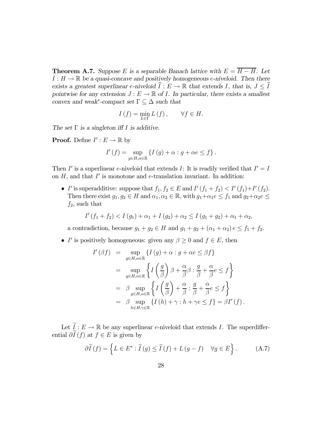**Theorem A.7.** Suppose E is a separable Banach lattice with  $E = \overline{H - H}$ . Let  $I : H \to \mathbb{R}$  be a quasi-concave and positively homogeneous e-niveloid. Then there exists a greatest superlinear e-niveloid  $I : E \to \mathbb{R}$  that extends I, that is,  $J \leq I$ pointwise for any extension  $J : E \to \mathbb{R}$  of *I*. In particular, there exists a smallest convex and weak<sup>∗</sup>-compact set  $\Gamma \subseteq \Delta$  such that

$$
I(f) = \min_{L \in \Gamma} L(f), \quad \forall f \in H.
$$

The set  $\Gamma$  is a singleton iff I is additive.

**Proof.** Define  $I' : E \to \mathbb{R}$  by

$$
I'(f) = \sup_{g \in H, \alpha \in \mathbb{R}} \left\{ I(g) + \alpha : g + \alpha e \le f \right\}.
$$

Then I' is a superlinear e-niveloid that extends I: It is readily verified that  $I' = I$ on  $H$ , and that  $I'$  is monotone and e-translation invariant. In addition:

• I' is superadditive: suppose that  $f_1, f_2 \in E$  and  $I'(f_1 + f_2) < I'(f_1) + I'(f_2)$ . Then there exist  $g_1, g_2 \in H$  and  $\alpha_1, \alpha_2 \in \mathbb{R}$ , with  $g_1 + \alpha_1 e \leq f_1$  and  $g_2 + \alpha_2 e \leq$  $f_2$ , such that

$$
I'(f_1 + f_2) < I(g_1) + \alpha_1 + I(g_2) + \alpha_2 \le I(g_1 + g_2) + \alpha_1 + \alpha_2,
$$

a contradiction, because  $g_1 + g_2 \in H$  and  $g_1 + g_2 + (\alpha_1 + \alpha_2) e \leq f_1 + f_2$ .

• I' is positively homogeneous: given any  $\beta \geq 0$  and  $f \in E$ , then

$$
I'(\beta f) = \sup_{g \in H, \alpha \in \mathbb{R}} \{ I(g) + \alpha : g + \alpha e \le \beta f \}
$$
  
= 
$$
\sup_{g \in H, \alpha \in \mathbb{R}} \left\{ I\left(\frac{g}{\beta}\right) \beta + \frac{\alpha}{\beta} \beta : \frac{g}{\beta} + \frac{\alpha}{\beta} e \le f \right\}
$$
  
= 
$$
\beta \sup_{g \in H, \alpha \in \mathbb{R}} \left\{ I\left(\frac{g}{\beta}\right) + \frac{\alpha}{\beta} : \frac{g}{\beta} + \frac{\alpha}{\beta} e \le f \right\}
$$
  
= 
$$
\beta \sup_{h \in H, \gamma \in \mathbb{R}} \left\{ I(h) + \gamma : h + \gamma e \le f \right\} = \beta I'(f).
$$

Let  $I: E \to \mathbb{R}$  be any superlinear e-niveloid that extends I. The superdifferential  $\partial I(f)$  at  $f \in E$  is given by

$$
\partial \widetilde{I}(f) = \left\{ L \in E^* : \widetilde{I}(g) \le \widetilde{I}(f) + L(g - f) \quad \forall g \in E \right\}.
$$
 (A.7)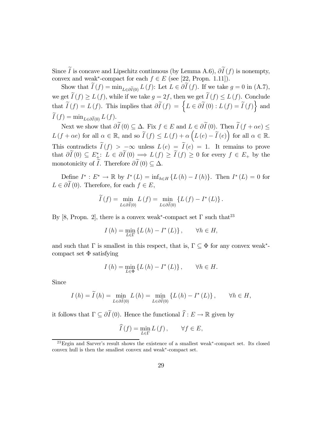Since I is concave and Lipschitz continuous (by Lemma A.6),  $\partial I(f)$  is nonempty, convex and weak<sup>\*</sup>-compact for each  $f \in E$  (see [22, Propn. 1.11]).

Show that  $I(f) = \min_{L \in \partial \tilde{I}(0)} L(f)$ : Let  $L \in \partial I(f)$ . If we take  $g = 0$  in  $(A.7)$ , we get  $I(f) \geq L(f)$ , while if we take  $g = 2f$ , then we get  $I(f) \leq L(f)$ . Conclude that  $\widetilde{I}(f) = L(f)$ . This implies that  $\partial \widetilde{I}(f) = \left\{L \in \partial \widetilde{I}(0) : L(f) = \widetilde{I}(f) \right\}$  and  $I(f) = \min_{L \in \partial \widetilde{I}(0)} L(f).$ 

Next we show that  $\partial I(0) \subseteq \Delta$ . Fix  $f \in E$  and  $L \in \partial I(0)$ . Then  $I(f + \alpha e) \leq$  $L(f + \alpha e)$  for all  $\alpha \in \mathbb{R}$ , and so  $\widetilde{I}(f) \leq L(f) + \alpha \left( L(e) - \widetilde{I}(e) \right)$  for all  $\alpha \in \mathbb{R}$ . This contradicts  $I(f) > -\infty$  unless  $L(e) = I(e) = 1$ . It remains to prove that  $\partial I(0) \subseteq E^*_\pm$ :  $L \in \partial I(0) \implies L(f) \geq I(f) \geq 0$  for every  $f \in E_+$  by the monotonicity of *I*. Therefore  $\partial I(0) \subseteq \Delta$ .

Define  $I^* : E^* \to \mathbb{R}$  by  $I^*(L) = \inf_{h \in H} \{L(h) - L(h)\}\)$ . Then  $I^*(L) = 0$  for  $L \in \partial I(0)$ . Therefore, for each  $f \in E$ ,

$$
I(f) = \min_{L \in \partial \widetilde{I}(0)} L(f) = \min_{L \in \partial \widetilde{I}(0)} \left\{ L(f) - I^*(L) \right\}.
$$

By [8, Propn. 2], there is a convex weak<sup>\*</sup>-compact set  $\Gamma$  such that<sup>23</sup>

$$
I(h) = \min_{L \in \Gamma} \{ L(h) - I^*(L) \}, \quad \forall h \in H,
$$

and such that  $\Gamma$  is smallest in this respect, that is,  $\Gamma \subset \Phi$  for any convex weak<sup>\*</sup>compact set  $\Phi$  satisfying

$$
I(h) = \min_{L \in \Phi} \{ L(h) - I^*(L) \}, \quad \forall h \in H.
$$

Since

$$
I(h) = \widetilde{I}(h) = \min_{L \in \partial \widetilde{I}(0)} L(h) = \min_{L \in \partial \widetilde{I}(0)} \{L(h) - I^*(L)\}, \quad \forall h \in H,
$$

it follows that  $\Gamma \subseteq \partial I(0)$ . Hence the functional  $I : E \to \mathbb{R}$  given by

$$
\widehat{I}(f) = \min_{L \in \Gamma} L(f), \qquad \forall f \in E,
$$

<sup>23</sup>Ergin and Sarver's result shows the existence of a smallest weak∗-compact set. Its closed convex hull is then the smallest convex and weak∗-compact set.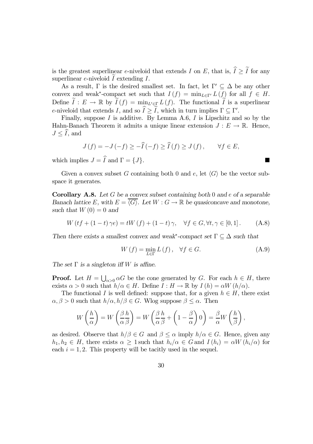is the greatest superlinear e-niveloid that extends I on E, that is,  $I \geq I$  for any superlinear  $e$ -niveloid  $I$  extending  $I$ .

As a result, Γ is the desired smallest set. In fact, let  $\Gamma' \subseteq \Delta$  be any other convex and weak<sup>\*</sup>-compact set such that  $I(f) = \min_{L \in \Gamma'} L(f)$  for all  $f \in H$ . Define  $I: E \to \mathbb{R}$  by  $I(f) = \min_{\mathcal{L} \in \mathbb{R}} L(f)$ . The functional I is a superlinear e-niveloid that extends I, and so  $I \geq I$ , which in turn implies  $\Gamma \subseteq \Gamma'$ .

Finally, suppose  $I$  is additive. By Lemma A.6,  $I$  is Lipschitz and so by the Hahn-Banach Theorem it admits a unique linear extension  $J : E \to \mathbb{R}$ . Hence,  $J \leq I$ , and

$$
J(f) = -J(-f) \ge -\widehat{I}(-f) \ge \widehat{I}(f) \ge J(f), \qquad \forall f \in E,
$$

which implies  $J = I$  and  $\Gamma = \{J\}$ .

Given a convex subset G containing both 0 and e, let  $\langle G \rangle$  be the vector subspace it generates.

**Corollary A.8.** Let G be a convex subset containing both 0 and e of a separable Banach lattice E, with  $E = \langle G \rangle$ . Let  $W : G \to \mathbb{R}$  be quasiconcave and monotone, such that  $W(0) = 0$  and

 $W (tf + (1-t) \gamma e) = tW (f) + (1-t) \gamma, \quad \forall f \in G, \forall t, \gamma \in [0,1].$  (A.8)

Then there exists a smallest convex and weak<sup>\*</sup>-compact set  $\Gamma \subseteq \Delta$  such that

$$
W\left(f\right) = \min_{L \in \Gamma} L\left(f\right), \quad \forall f \in G. \tag{A.9}
$$

The set  $\Gamma$  is a singleton iff W is affine.

**Proof.** Let  $H = \bigcup_{\alpha>0} \alpha G$  be the cone generated by G. For each  $h \in H$ , there exists  $\alpha > 0$  such that  $h/\alpha \in H$ . Define  $I : H \to \mathbb{R}$  by  $I(h) = \alpha W(h/\alpha)$ .

The functional I is well defined: suppose that, for a given  $h \in H$ , there exist  $\alpha, \beta > 0$  such that  $h/\alpha, h/\beta \in G$ . Wlog suppose  $\beta \leq \alpha$ . Then

$$
W\left(\frac{h}{\alpha}\right) = W\left(\frac{\beta h}{\alpha \beta}\right) = W\left(\frac{\beta h}{\alpha \beta} + \left(1 - \frac{\beta}{\alpha}\right)0\right) = \frac{\beta}{\alpha}W\left(\frac{h}{\beta}\right),
$$

as desired. Observe that  $h/\beta \in G$  and  $\beta \leq \alpha$  imply  $h/\alpha \in G$ . Hence, given any  $h_1, h_2 \in H$ , there exists  $\alpha \geq 1$  such that  $h_i/\alpha \in G$  and  $I(h_i) = \alpha W(h_i/\alpha)$  for each  $i = 1, 2$ . This property will be tacitly used in the sequel.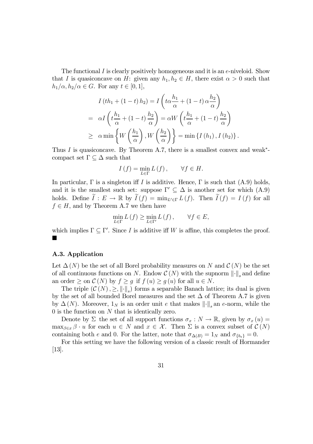The functional I is clearly positively homogeneous and it is an  $e$ -niveloid. Show that I is quasiconcave on H: given any  $h_1, h_2 \in H$ , there exist  $\alpha > 0$  such that  $h_1/\alpha, h_2/\alpha \in G$ . For any  $t \in [0, 1],$ 

$$
I\left(th_1 + (1-t)h_2\right) = I\left(t\alpha \frac{h_1}{\alpha} + (1-t)\alpha \frac{h_2}{\alpha}\right)
$$
  
=  $\alpha I\left(t\frac{h_1}{\alpha} + (1-t)\frac{h_2}{\alpha}\right) = \alpha W\left(t\frac{h_1}{\alpha} + (1-t)\frac{h_2}{\alpha}\right)$   
 $\geq \alpha \min \left\{W\left(\frac{h_1}{\alpha}\right), W\left(\frac{h_2}{\alpha}\right)\right\} = \min \left\{I\left(h_1\right), I\left(h_2\right)\right\}.$ 

Thus I is quasiconcave. By Theorem A.7, there is a smallest convex and weak<sup>\*</sup>compact set  $\Gamma \subseteq \Delta$  such that

$$
I(f) = \min_{L \in \Gamma} L(f), \qquad \forall f \in H.
$$

In particular,  $\Gamma$  is a singleton iff I is additive. Hence,  $\Gamma$  is such that  $(A.9)$  holds, and it is the smallest such set: suppose  $\Gamma' \subseteq \Delta$  is another set for which (A.9) holds. Define  $I: E \to \mathbb{R}$  by  $I(f) = \min_{L' \in \Gamma} L(f)$ . Then  $I(f) = I(f)$  for all  $f \in H$ , and by Theorem A.7 we then have

$$
\min_{L \in \Gamma} L(f) \ge \min_{L \in \Gamma'} L(f), \qquad \forall f \in E,
$$

which implies  $\Gamma \subseteq \Gamma'$ . Since I is additive iff W is affine, this completes the proof. ¥

#### A.3. Application

Let  $\Delta(N)$  be the set of all Borel probability measures on N and  $\mathcal{C}(N)$  be the set of all continuous functions on N. Endow  $\mathcal{C}(N)$  with the supnorm  $\lVert \cdot \rVert_s$  and define an order  $\geq$  on  $\mathcal{C}(N)$  by  $f \geq g$  if  $f(u) \geq g(u)$  for all  $u \in N$ .

The triple  $(C(N), \geq, \|\cdot\|_s)$  forms a separable Banach lattice; its dual is given by the set of all bounded Borel measures and the set  $\Delta$  of Theorem A.7 is given by  $\Delta(N)$ . Moreover,  $1_N$  is an order unit e that makes  $\lVert \cdot \rVert_s$  an e-norm, while the 0 is the function on N that is identically zero.

Denote by  $\Sigma$  the set of all support functions  $\sigma_x : N \to \mathbb{R}$ , given by  $\sigma_x(u) =$  $\max_{\beta \in x} \beta \cdot u$  for each  $u \in N$  and  $x \in \mathcal{X}$ . Then  $\Sigma$  is a convex subset of  $\mathcal{C}(N)$ containing both e and 0. For the latter, note that  $\sigma_{\Delta(B)} = 1_N$  and  $\sigma_{\{b_*\}} = 0$ .

For this setting we have the following version of a classic result of Hormander [13].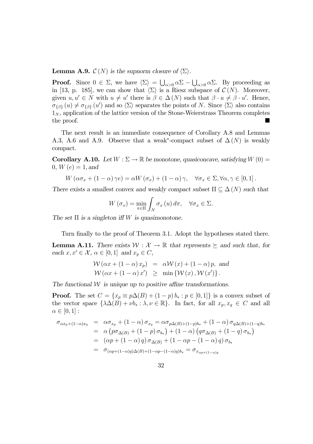**Lemma A.9.**  $\mathcal{C}(N)$  is the supnorm closure of  $\langle \Sigma \rangle$ .

**Proof.** Since  $0 \in \Sigma$ , we have  $\langle \Sigma \rangle = \bigcup_{\alpha > 0} \alpha \Sigma - \bigcup_{\alpha > 0} \alpha \Sigma$ . By proceeding as in [13, p. 185], we can show that  $\langle \Sigma \rangle$  is a Riesz subspace of  $\mathcal{C}(N)$ . Moreover, given  $u, u' \in N$  with  $u \neq u'$  there is  $\beta \in \Delta(N)$  such that  $\beta \cdot u \neq \beta \cdot u'$ . Hence,  $\sigma_{\{\beta\}}(u) \neq \sigma_{\{\beta\}}(u')$  and so  $\langle \Sigma \rangle$  separates the points of N. Since  $\langle \Sigma \rangle$  also contains  $1_N$ , application of the lattice version of the Stone-Weierstrass Theorem completes  $\alpha$  the proof.

The next result is an immediate consequence of Corollary A.8 and Lemmas A.3, A.6 and A.9. Observe that a weak<sup>\*</sup>-compact subset of  $\Delta(N)$  is weakly compact.

**Corollary A.10.** Let  $W : \Sigma \to \mathbb{R}$  be monotone, quasiconcave, satisfying  $W(0) =$ 0,  $W(e)=1$ , and

$$
W(\alpha \sigma_x + (1 - \alpha) \gamma e) = \alpha W(\sigma_x) + (1 - \alpha) \gamma, \quad \forall \sigma_x \in \Sigma, \forall \alpha, \gamma \in [0, 1].
$$

There exists a smallest convex and weakly compact subset  $\Pi \subseteq \Delta(N)$  such that

$$
W\left(\sigma_{x}\right)=\min_{\pi\in\Pi}\int_{N}\sigma_{x}\left(u\right)d\pi, \quad \forall \sigma_{x}\in\Sigma.
$$

The set  $\Pi$  is a singleton iff W is quasimonotone.

Turn finally to the proof of Theorem 3.1. Adopt the hypotheses stated there.

**Lemma A.11.** There exists  $W : \mathcal{X} \to \mathbb{R}$  that represents  $\succ$  and such that, for each  $x, x' \in \mathcal{X}, \, \alpha \in [0, 1]$  and  $x_p \in C$ ,

$$
\mathcal{W}(\alpha x + (1 - \alpha) x_p) = \alpha \mathcal{W}(x) + (1 - \alpha) p, \text{ and}
$$
  

$$
\mathcal{W}(\alpha x + (1 - \alpha) x') \ge \min \{ \mathcal{W}(x), \mathcal{W}(x') \}.
$$

The functional  $W$  is unique up to positive affine transformations.

**Proof.** The set  $C = \{x_p \equiv p\Delta(B) + (1-p)b_* : p \in [0,1]\}$  is a convex subset of the vector space  $\{\lambda \Delta(B) + \nu b_* : \lambda, \nu \in \mathbb{R}\}$ . In fact, for all  $x_p, x_q \in C$  and all  $\alpha \in [0,1]$ :

$$
\sigma_{\alpha x_p + (1-\alpha)x_q} = \alpha \sigma_{x_p} + (1-\alpha) \sigma_{x_q} = \alpha \sigma_{p\Delta(B) + (1-p)b_*} + (1-\alpha) \sigma_{q\Delta(B) + (1-q)b_*}
$$
  
\n
$$
= \alpha \left( p \sigma_{\Delta(B)} + (1-p) \sigma_{b_*} \right) + (1-\alpha) \left( q \sigma_{\Delta(B)} + (1-q) \sigma_{b_*} \right)
$$
  
\n
$$
= (\alpha p + (1-\alpha) q) \sigma_{\Delta(B)} + (1-\alpha p - (1-\alpha) q) \sigma_{b_*}
$$
  
\n
$$
= \sigma_{(\alpha p + (1-\alpha)q)\Delta(B) + (1-\alpha p - (1-\alpha)q)b_*} = \sigma_{x_{\alpha p + (1-\alpha)q}}
$$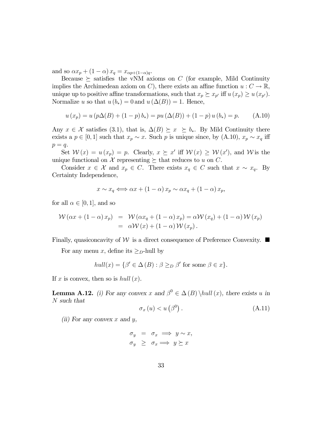and so  $\alpha x_p + (1 - \alpha) x_q = x_{\alpha p + (1 - \alpha)q}$ .

Because  $\succeq$  satisfies the vNM axioms on C (for example, Mild Continuity implies the Archimedean axiom on C), there exists an affine function  $u: C \to \mathbb{R}$ , unique up to positive affine transformations, such that  $x_p \succeq x_{p'}$  iff  $u (x_p) \geq u (x_{p'})$ . Normalize u so that  $u(b_*)=0$  and  $u(\Delta(B))=1$ . Hence,

$$
u(x_p) = u(p\Delta(B) + (1-p)b_*) = pu(\Delta(B)) + (1-p)u(b_*) = p.
$$
 (A.10)

Any  $x \in \mathcal{X}$  satisfies (3.1), that is,  $\Delta(B) \succeq x \succeq b_*$ . By Mild Continuity there exists a  $p \in [0, 1]$  such that  $x_p \sim x$ . Such p is unique since, by (A.10),  $x_p \sim x_q$  iff  $p = q$ .

Set  $W(x) = u(x_p) = p$ . Clearly,  $x \geq x'$  iff  $W(x) \geq W(x')$ , and W is the unique functional on X representing  $\succeq$  that reduces to u on C.

Consider  $x \in \mathcal{X}$  and  $x_p \in C$ . There exists  $x_q \in C$  such that  $x \sim x_q$ . By Certainty Independence,

$$
x \sim x_q \Longleftrightarrow \alpha x + (1 - \alpha) x_p \sim \alpha x_q + (1 - \alpha) x_p,
$$

for all  $\alpha \in [0,1]$ , and so

$$
\mathcal{W}(\alpha x + (1 - \alpha) x_p) = \mathcal{W}(\alpha x_q + (1 - \alpha) x_p) = \alpha \mathcal{W}(x_q) + (1 - \alpha) \mathcal{W}(x_p)
$$
  
=  $\alpha \mathcal{W}(x) + (1 - \alpha) \mathcal{W}(x_p).$ 

Finally, quasiconcavity of W is a direct consequence of Preference Convexity.  $\blacksquare$ 

For any menu x, define its  $\geq_D$ -hull by

$$
hull(x) = \{ \beta' \in \Delta(B) : \beta \geq_D \beta' \text{ for some } \beta \in x \}.
$$

If x is convex, then so is hull  $(x)$ .

**Lemma A.12.** (i) For any convex x and  $\beta^0 \in \Delta(B) \hbox{null}(x)$ , there exists u in N such that

$$
\sigma_x(u) < u\left(\beta^0\right). \tag{A.11}
$$

(ii) For any convex  $x$  and  $y$ ,

$$
\begin{array}{rcl}\n\sigma_y & = & \sigma_x \implies y \sim x, \\
\sigma_y & \geq & \sigma_x \implies y \succeq x\n\end{array}
$$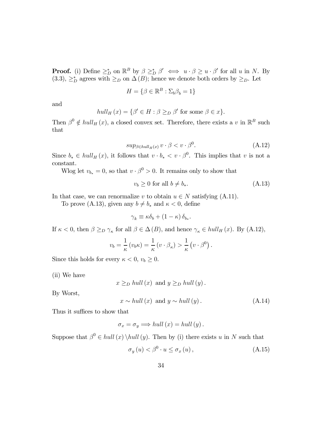**Proof.** (i) Define  $\geq^*_{D}$  on  $\mathbb{R}^B$  by  $\beta \geq^*_{D} \beta' \iff u \cdot \beta \geq u \cdot \beta'$  for all u in N. By (3.3),  $\geq_D^*$  agrees with  $\geq_D$  on  $\Delta(B)$ ; hence we denote both orders by  $\geq_D$ . Let

$$
H = \{ \beta \in \mathbb{R}^B : \Sigma_b \beta_b = 1 \}
$$

and

$$
hull_H(x) = \{ \beta' \in H : \beta \geq_D \beta' \text{ for some } \beta \in x \}.
$$

Then  $\beta^0 \notin hull_H(x)$ , a closed convex set. Therefore, there exists a v in  $\mathbb{R}^B$  such that

$$
sup_{\beta \in hull_H(x)} v \cdot \beta < v \cdot \beta^0. \tag{A.12}
$$

Since  $b_* \in hull_H(x)$ , it follows that  $v \cdot b_* < v \cdot \beta^0$ . This implies that v is not a constant.

Wlog let  $v_{b_*} = 0$ , so that  $v \cdot \beta^0 > 0$ . It remains only to show that

$$
v_b \ge 0 \text{ for all } b \ne b_*. \tag{A.13}
$$

In that case, we can renormalize v to obtain  $u \in N$  satisfying (A.11).

To prove (A.13), given any  $b \neq b_*$  and  $\kappa < 0$ , define

$$
\gamma_k \equiv \kappa \delta_b + (1 - \kappa) \, \delta_{b_*}.
$$

If  $\kappa < 0$ , then  $\beta \geq_D \gamma_{\kappa}$  for all  $\beta \in \Delta(B)$ , and hence  $\gamma_{\kappa} \in hull_H(x)$ . By (A.12),

$$
v_b = \frac{1}{\kappa} (v_b \kappa) = \frac{1}{\kappa} (v \cdot \beta_{\kappa}) > \frac{1}{\kappa} (v \cdot \beta^0).
$$

Since this holds for every  $\kappa < 0$ ,  $v_b \geq 0$ .

(ii) We have

 $x \geq_D hull(x)$  and  $y \geq_D hull(y)$ .

By Worst,

 $x \sim hull(x)$  and  $y \sim hull(y)$ . (A.14)

Thus it suffices to show that

$$
\sigma_x = \sigma_y \Longrightarrow \text{hull}(x) = \text{hull}(y).
$$

Suppose that  $\beta^0 \in hull(x) \hedge hull(y)$ . Then by (i) there exists u in N such that

$$
\sigma_y(u) < \beta^0 \cdot u \le \sigma_x(u) \,,\tag{A.15}
$$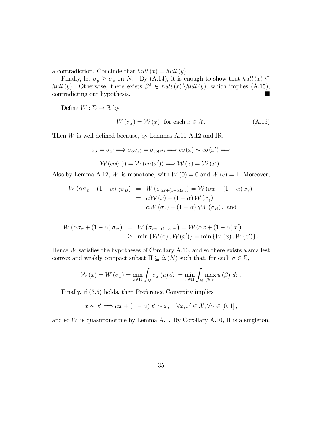a contradiction. Conclude that  $hull(x) = hull(y)$ .

Finally, let  $\sigma_y \ge \sigma_x$  on N. By (A.14), it is enough to show that hull  $(x) \subseteq$ hull (y). Otherwise, there exists  $\beta^0 \in hull(x) \hbox{hull}(y)$ , which implies (A.15), contradicting our hypothesis. contradicting our hypothesis.

Define  $W : \Sigma \to \mathbb{R}$  by

$$
W(\sigma_x) = \mathcal{W}(x) \text{ for each } x \in \mathcal{X}.
$$
 (A.16)

Then W is well-defined because, by Lemmas A.11-A.12 and IR,

$$
\sigma_x = \sigma_{x'} \Longrightarrow \sigma_{co(x)} = \sigma_{co(x')} \Longrightarrow co(x) \sim co(x') \Longrightarrow
$$

$$
\mathcal{W}(co(x)) = \mathcal{W}(co(x')) \Longrightarrow \mathcal{W}(x) = \mathcal{W}(x').
$$

Also by Lemma A.12, W is monotone, with  $W(0) = 0$  and  $W(e) = 1$ . Moreover,

$$
W(\alpha \sigma_x + (1 - \alpha) \gamma \sigma_B) = W(\sigma_{\alpha x + (1 - \alpha)x_{\gamma}}) = \mathcal{W}(\alpha x + (1 - \alpha) x_{\gamma})
$$
  
=  $\alpha \mathcal{W}(x) + (1 - \alpha) \mathcal{W}(x_{\gamma})$   
=  $\alpha W(\sigma_x) + (1 - \alpha) \gamma W(\sigma_B)$ , and

$$
W(\alpha \sigma_x + (1 - \alpha) \sigma_{x'}) = W(\sigma_{\alpha x + (1 - \alpha)x'}) = W(\alpha x + (1 - \alpha) x')
$$
  
\n
$$
\geq \min \{ W(x), W(x') \} = \min \{ W(x), W(x') \}.
$$

Hence W satisfies the hypotheses of Corollary A.10, and so there exists a smallest convex and weakly compact subset  $\Pi \subseteq \Delta(N)$  such that, for each  $\sigma \in \Sigma$ ,

$$
\mathcal{W}(x) = W(\sigma_x) = \min_{\pi \in \Pi} \int_N \sigma_x(u) d\pi = \min_{\pi \in \Pi} \int_N \max_{\beta \in x} u(\beta) d\pi.
$$

Finally, if (3.5) holds, then Preference Convexity implies

$$
x \sim x' \Longrightarrow \alpha x + (1 - \alpha) x' \sim x, \quad \forall x, x' \in \mathcal{X}, \forall \alpha \in [0, 1],
$$

and so W is quasimonotone by Lemma A.1. By Corollary A.10,  $\Pi$  is a singleton.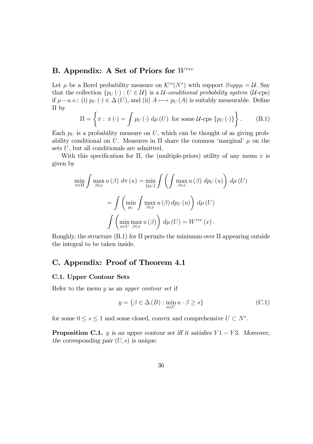### B. Appendix: A Set of Priors for Wrev

Let  $\mu$  be a Borel probability measure on  $\mathcal{K}^{cc}(N^*)$  with support  $Supp\mu = \mathcal{U}$ . Say that the collection  $\{p_U(\cdot): U \in \mathcal{U}\}\$ is a  $\mathcal{U}\text{-}conditional probability system (\mathcal{U}\text{-}cps)$ if  $\mu-a.s.$ : (i)  $p_U(\cdot) \in \Delta(U)$ , and (ii)  $A \mapsto p_U(A)$  is suitably measurable. Define Π by

$$
\Pi = \left\{ \pi : \pi (\cdot) = \int p_U (\cdot) \, d\mu (U) \text{ for some } U \text{-cps } \{p_U (\cdot)\} \right\}. \tag{B.1}
$$

Each  $p_U$  is a probability measure on U, which can be thought of as giving probability conditional on U. Measures in  $\Pi$  share the common 'marginal'  $\mu$  on the sets U, but all conditionals are admitted.

With this specification for  $\Pi$ , the (multiple-priors) utility of any menu x is given by

$$
\min_{\pi \in \Pi} \int \max_{\beta \in x} u(\beta) d\pi(u) = \min_{\{pv\}} \int \left( \int \max_{\beta \in x} u(\beta) dp_U(u) \right) d\mu(U)
$$

$$
= \int \left( \min_{pv} \int \max_{\beta \in x} u(\beta) dp_U(u) \right) d\mu(U)
$$

$$
\int \left( \min_{u \in U} \max_{\beta \in x} u(\beta) \right) d\mu(U) = W^{rev}(x).
$$

Roughly, the structure  $(B.1)$  for  $\Pi$  permits the minimum over  $\Pi$  appearing outside the integral to be taken inside.

### C. Appendix: Proof of Theorem 4.1

#### C.1. Upper Contour Sets

Refer to the menu  $y$  as an upper contour set if

$$
y = \{ \beta \in \Delta(B) : \min_{u \in U} u \cdot \beta \ge s \}
$$
 (C.1)

for some  $0 \le s \le 1$  and some closed, convex and comprehensive  $U \subset N^*$ .

**Proposition C.1.** y is an upper contour set iff it satisfies  $Y1 - Y3$ . Moreover, the corresponding pair  $(U, s)$  is unique.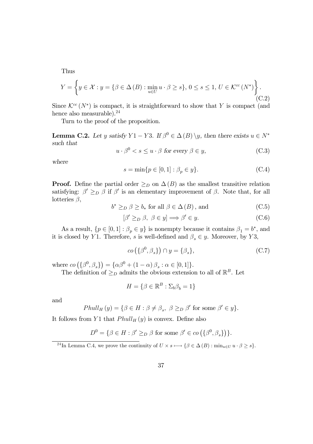Thus

$$
Y = \left\{ y \in \mathcal{X} : y = \{ \beta \in \Delta(B) : \min_{u \in U} u \cdot \beta \ge s \}, 0 \le s \le 1, U \in \mathcal{K}^{cc}(N^*) \right\}.
$$
\n(C.2)

Since  $\mathcal{K}^{cc}(N^*)$  is compact, it is straightforward to show that Y is compact (and hence also measurable). $^{24}$ 

Turn to the proof of the proposition.

**Lemma C.2.** Let y satisfy  $Y1 - Y3$ . If  $\beta^0 \in \Delta(B) \setminus y$ , then there exists  $u \in N^*$ such that

$$
u \cdot \beta^0 < s \le u \cdot \beta \text{ for every } \beta \in y,\tag{C.3}
$$

where

$$
s = \min\{p \in [0, 1] : \beta_p \in y\}.
$$
 (C.4)

**Proof.** Define the partial order  $\geq_D$  on  $\Delta(B)$  as the smallest transitive relation satisfying:  $\beta' \geq_D \beta$  if  $\beta'$  is an elementary improvement of  $\beta$ . Note that, for all lotteries  $\beta$ ,

$$
b^* \geq_D \beta \geq b_* \text{ for all } \beta \in \Delta(B), \text{ and } \tag{C.5}
$$

$$
[\beta' \geq_D \beta, \ \beta \in y] \Longrightarrow \beta' \in y. \tag{C.6}
$$

As a result,  $\{p \in [0,1]: \beta_p \in y\}$  is nonempty because it contains  $\beta_1 = b^*$ , and it is closed by Y1. Therefore, s is well-defined and  $\beta_s \in y$ . Moreover, by Y3,

$$
co\left(\{\beta^0, \beta_s\}\right) \cap y = \{\beta_s\},\tag{C.7}
$$

where  $\cos\left(\left\{\beta^0, \beta_s\right\}\right) = \left\{\alpha\beta^0 + \left(1-\alpha\right)\beta_s : \alpha \in [0,1]\right\}.$ 

The definition of  $\geq_D$  admits the obvious extension to all of  $\mathbb{R}^B$ . Let

$$
H = \{ \beta \in \mathbb{R}^B : \Sigma_b \beta_b = 1 \}
$$

and

$$
Phull_H(y) = \{ \beta \in H : \beta \neq \beta_s, \ \beta \geq_D \beta' \text{ for some } \beta' \in y \}.
$$

It follows from Y1 that  $Phull_H(y)$  is convex. Define also

$$
D^{0} = \{ \beta \in H : \beta' \geq_{D} \beta \text{ for some } \beta' \in co\left( \{ \beta^{0}, \beta_{s} \} \right) \}.
$$

<sup>24</sup>In Lemma C.4, we prove the continuity of  $U \times s \longmapsto {\beta \in \Delta(B) : min_{u \in U} u \cdot \beta \geq s}.$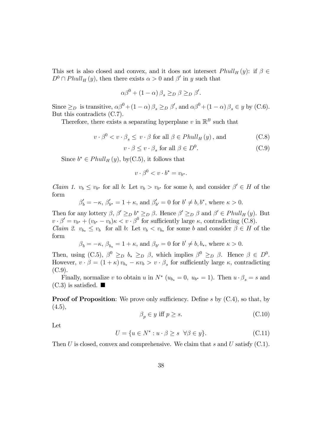This set is also closed and convex, and it does not intersect  $Phull_H(y)$ : if  $\beta \in$  $D^0 \cap Phull_H(y)$ , then there exists  $\alpha > 0$  and  $\beta'$  in y such that

$$
\alpha \beta^{0} + (1 - \alpha) \beta_{s} \geq_{D} \beta \geq_{D} \beta'.
$$

Since  $\geq_D$  is transitive,  $\alpha\beta^0 + (1 - \alpha)\beta_s \geq_D \beta'$ , and  $\alpha\beta^0 + (1 - \alpha)\beta_s \in y$  by (C.6). But this contradicts (C.7).

Therefore, there exists a separating hyperplane v in  $\mathbb{R}^B$  such that

$$
v \cdot \beta^{0} < v \cdot \beta_{s} \leq v \cdot \beta \text{ for all } \beta \in Phull_{H}(y), \text{ and } (C.8)
$$

 $v \cdot \beta \leq v \cdot \beta_s$  for all  $\beta \in D^0$ .  $(C.9)$ 

Since  $b^* \in Phull_H(y)$ , by(C.5), it follows that

$$
v \cdot \beta^0 < v \cdot b^* = v_{b^*}.
$$

*Claim 1.*  $v_b \leq v_{b^*}$  for all b: Let  $v_b > v_{b^*}$  for some b, and consider  $\beta' \in H$  of the form

$$
\beta'_b = -\kappa, \,\beta'_{b^*} = 1+\kappa, \,\text{and}\,\, \beta'_{b'} = 0 \,\, \text{for}\,\, b' \neq b, b^*, \,\text{where}\,\, \kappa > 0.
$$

Then for any lottery  $\beta$ ,  $\beta' \geq_D b^* \geq_D \beta$ . Hence  $\beta' \geq_D \beta$  and  $\beta' \in Phull_H(y)$ . But  $v \cdot \beta' = v_{b^*} + (v_{b^*} - v_b)\kappa < v \cdot \beta^0$  for sufficiently large  $\kappa$ , contradicting (C.8). *Claim 2.*  $v_{b_*} \leq v_b$  for all b: Let  $v_b < v_{b_*}$  for some b and consider  $\beta \in H$  of the form

$$
\beta_b = -\kappa
$$
,  $\beta_{b_*} = 1 + \kappa$ , and  $\beta_{b'} = 0$  for  $b' \neq b, b_*$ , where  $\kappa > 0$ .

Then, using  $(C.5)$ ,  $\beta^0 \geq_D b_* \geq_D \beta$ , which implies  $\beta^0 \geq_D \beta$ . Hence  $\beta \in D^0$ . However,  $v \cdot \beta = (1 + \kappa) v_{b_*} - \kappa v_b > v \cdot \beta_s$  for sufficiently large  $\kappa$ , contradicting  $(C.9)$ .

Finally, normalize v to obtain u in  $N^*$  ( $u_{b_*} = 0$ ,  $u_{b^*} = 1$ ). Then  $u \cdot \beta_s = s$  and  $(C.3)$  is satisfied.  $\blacksquare$ 

**Proof of Proposition:** We prove only sufficiency. Define s by  $(C.4)$ , so that, by  $(4.5),$ 

$$
\beta_p \in y \text{ iff } p \ge s. \tag{C.10}
$$

Let

$$
U = \{ u \in N^* : u \cdot \beta \ge s \ \forall \beta \in y \}. \tag{C.11}
$$

Then U is closed, convex and comprehensive. We claim that s and U satisfy  $(C.1)$ .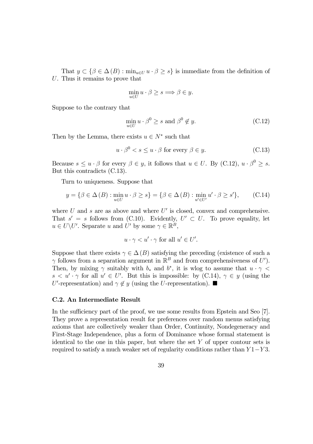That  $y \subset {\beta \in \Delta(B) : min_{u \in U} u \cdot \beta \geq s}$  is immediate from the definition of U. Thus it remains to prove that

$$
\min_{u \in U} u \cdot \beta \ge s \Longrightarrow \beta \in y.
$$

Suppose to the contrary that

$$
\min_{u \in U} u \cdot \beta^0 \ge s \text{ and } \beta^0 \notin y. \tag{C.12}
$$

Then by the Lemma, there exists  $u \in N^*$  such that

$$
u \cdot \beta^0 < s \le u \cdot \beta \text{ for every } \beta \in y. \tag{C.13}
$$

Because  $s \leq u \cdot \beta$  for every  $\beta \in y$ , it follows that  $u \in U$ . By (C.12),  $u \cdot \beta^0 \geq s$ . But this contradicts (C.13).

Turn to uniqueness. Suppose that

$$
y = \{ \beta \in \Delta(B) : \min_{u \in U} u \cdot \beta \ge s \} = \{ \beta \in \Delta(B) : \min_{u' \in U'} u' \cdot \beta \ge s' \}, \qquad (C.14)
$$

where  $U$  and  $s$  are as above and where  $U'$  is closed, convex and comprehensive. That  $s' = s$  follows from (C.10). Evidently,  $U' \subset U$ . To prove equality, let  $u \in U\backslash U'$ . Separate u and U' by some  $\gamma \in \mathbb{R}^B$ ,

$$
u \cdot \gamma < u' \cdot \gamma \text{ for all } u' \in U'.
$$

Suppose that there exists  $\gamma \in \Delta(B)$  satisfying the preceding (existence of such a  $\gamma$  follows from a separation argument in  $\mathbb{R}^B$  and from comprehensiveness of U'). Then, by mixing  $\gamma$  suitably with  $b_*$  and  $b^*$ , it is wlog to assume that  $u \cdot \gamma$  $s < u' \cdot \gamma$  for all  $u' \in U'$ . But this is impossible: by  $(C.14)$ ,  $\gamma \in y$  (using the U'-representation) and  $\gamma \notin y$  (using the U-representation).  $\blacksquare$ 

#### C.2. An Intermediate Result

In the sufficiency part of the proof, we use some results from Epstein and Seo [7]. They prove a representation result for preferences over random menus satisfying axioms that are collectively weaker than Order, Continuity, Nondegeneracy and First-Stage Independence, plus a form of Dominance whose formal statement is identical to the one in this paper, but where the set  $Y$  of upper contour sets is required to satisfy a much weaker set of regularity conditions rather than  $Y1-Y3$ .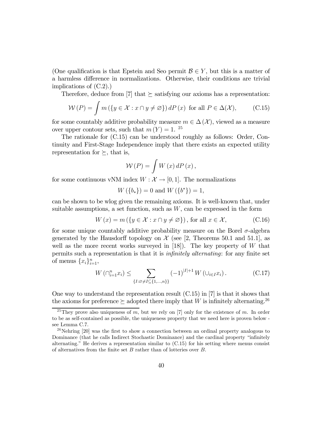(One qualification is that Epstein and Seo permit  $\mathcal{B} \in Y$ , but this is a matter of a harmless difference in normalizations. Otherwise, their conditions are trivial implications of (C.2).)

Therefore, deduce from [7] that  $\succeq$  satisfying our axioms has a representation:

$$
W(P) = \int m(\lbrace y \in \mathcal{X} : x \cap y \neq \varnothing \rbrace) dP(x) \text{ for all } P \in \Delta(\mathcal{X}), \qquad \text{(C.15)}
$$

for some countably additive probability measure  $m \in \Delta(\mathcal{X})$ , viewed as a measure over upper contour sets, such that  $m(Y) = 1$ . <sup>25</sup>

The rationale for (C.15) can be understood roughly as follows: Order, Continuity and First-Stage Independence imply that there exists an expected utility representation for  $\succeq$ , that is,

$$
\mathcal{W}(P) = \int W(x) \, dP(x),
$$

for some continuous vNM index  $W : \mathcal{X} \to [0,1]$ . The normalizations

$$
W(\lbrace b_* \rbrace) = 0 \text{ and } W(\lbrace b^* \rbrace) = 1,
$$

can be shown to be wlog given the remaining axioms. It is well-known that, under suitable assumptions, a set function, such as  $W$ , can be expressed in the form

$$
W(x) = m(\lbrace y \in \mathcal{X} : x \cap y \neq \varnothing \rbrace), \text{ for all } x \in \mathcal{X}, \tag{C.16}
$$

for some unique countably additive probability measure on the Borel  $\sigma$ -algebra generated by the Hausdorff topology on  $\mathcal X$  (see [2, Theorems 50.1 and 51.1], as well as the more recent works surveyed in  $[18]$ . The key property of W that permits such a representation is that it is infinitely alternating: for any finite set of menus  $\{x_i\}_{i=1}^n$ ,

$$
W\left(\bigcap_{i=1}^{n} x_i\right) \le \sum_{\{I:\varnothing \ne I \subseteq \{1,\dots,n\}\}} (-1)^{|I|+1} W\left(\bigcup_{i \in I} x_i\right). \tag{C.17}
$$

One way to understand the representation result (C.15) in [7] is that it shows that the axioms for preference  $\succeq$  adopted there imply that W is infinitely alternating.<sup>26</sup>

<sup>&</sup>lt;sup>25</sup>They prove also uniqueness of m, but we rely on [7] only for the existence of m. In order to be as self-contained as possible, the uniqueness property that we need here is proven below see Lemma C.7.

 $^{26}$ Nehring [20] was the first to show a connection between an ordinal property analogous to Dominance (that he calls Indirect Stochastic Dominance) and the cardinal property "infinitely alternating." He derives a representation similar to (C.15) for his setting where menus consist of alternatives from the finite set  $B$  rather than of lotteries over  $B$ .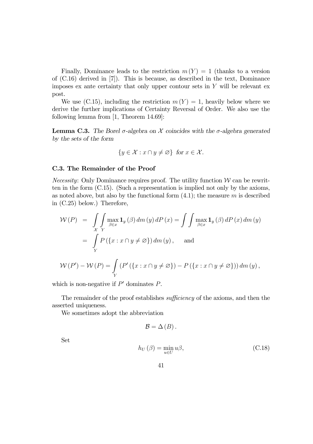Finally, Dominance leads to the restriction  $m(Y)=1$  (thanks to a version of (C.16) derived in [7]). This is because, as described in the text, Dominance imposes ex ante certainty that only upper contour sets in  $Y$  will be relevant ex post.

We use (C.15), including the restriction  $m(Y) = 1$ , heavily below where we derive the further implications of Certainty Reversal of Order. We also use the following lemma from [1, Theorem 14.69]:

**Lemma C.3.** The Borel σ-algebra on  $X$  coincides with the σ-algebra generated by the sets of the form

$$
\{y \in \mathcal{X} : x \cap y \neq \varnothing\} \text{ for } x \in \mathcal{X}.
$$

#### C.3. The Remainder of the Proof

*Necessity:* Only Dominance requires proof. The utility function  $W$  can be rewritten in the form (C.15). (Such a representation is implied not only by the axioms, as noted above, but also by the functional form  $(4.1)$ ; the measure m is described in (C.25) below.) Therefore,

$$
\mathcal{W}(P) = \int\limits_{\mathcal{X}} \int\limits_{Y} \max_{y} \mathbf{1}_y(\beta) dm(y) dP(x) = \int\limits_{\beta \in x} \int\limits_{\beta \in x} \max_{y} \mathbf{1}_y(\beta) dP(x) dm(y)
$$

$$
= \int\limits_{Y} P(\{x : x \cap y \neq \emptyset\}) dm(y), \text{ and}
$$

$$
W(P') - W(P) = \int_{Y} (P'(\lbrace x : x \cap y \neq \varnothing \rbrace) - P(\lbrace x : x \cap y \neq \varnothing \rbrace)) dm(y),
$$

which is non-negative if  $P'$  dominates  $P$ .

The remainder of the proof establishes sufficiency of the axioms, and then the asserted uniqueness.

We sometimes adopt the abbreviation

$$
\mathcal{B}=\Delta\left( B\right) .
$$

Set

$$
h_U(\beta) = \min_{u \in U} u\beta,
$$
\n(C.18)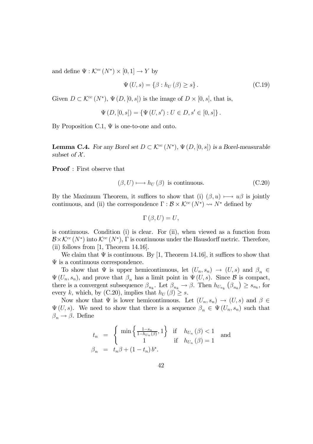and define  $\Psi : \mathcal{K}^{cc}(N^*) \times [0,1] \to Y$  by

$$
\Psi\left(U,s\right) = \left\{\beta : h_U\left(\beta\right) \ge s\right\}.
$$
\n(C.19)

Given  $D \subset \mathcal{K}^{cc}(N^*)$ ,  $\Psi(D, [0, s])$  is the image of  $D \times [0, s]$ , that is,

$$
\Psi(D, [0, s]) = {\Psi(U, s') : U \in D, s' \in [0, s]}.
$$

By Proposition C.1,  $\Psi$  is one-to-one and onto.

**Lemma C.4.** For any Borel set  $D \subset \mathcal{K}^{cc}(N^*)$ ,  $\Psi(D, [0, s])$  is a Borel-measurable subset of  $X$ .

Proof : First observe that

$$
(\beta, U) \longrightarrow h_U(\beta) \text{ is continuous.} \tag{C.20}
$$

By the Maximum Theorem, it suffices to show that (i)  $(\beta, u) \longmapsto u\beta$  is jointly continuous, and (ii) the correspondence  $\Gamma : \mathcal{B} \times \mathcal{K}^{cc}(N^*) \rightarrow N^*$  defined by

$$
\Gamma(\beta, U) = U,
$$

is continuous. Condition (i) is clear. For (ii), when viewed as a function from  $\mathcal{B}\times\mathcal{K}^{cc}(N^*)$  into  $\mathcal{K}^{cc}(N^*)$ ,  $\Gamma$  is continuous under the Hausdorff metric. Therefore, (ii) follows from [1, Theorem 14.16].

We claim that  $\Psi$  is continuous. By [1, Theorem 14.16], it suffices to show that  $\Psi$  is a continuous correspondence.

To show that  $\Psi$  is upper hemicontinuous, let  $(U_n, s_n) \to (U, s)$  and  $\beta_n \in$  $\Psi(U_n, s_n)$ , and prove that  $\beta_n$  has a limit point in  $\Psi(U, s)$ . Since  $\beta$  is compact, there is a convergent subsequence  $\beta_{n_k}$ . Let  $\beta_{n_k} \to \beta$ . Then  $h_{U_{n_k}}(\beta_{n_k}) \geq s_{n_k}$ , for every k, which, by (C.20), implies that  $h_U(\beta) \geq s$ .

Now show that  $\Psi$  is lower hemicontinuous. Let  $(U_n, s_n) \to (U, s)$  and  $\beta \in$  $\Psi(U, s)$ . We need to show that there is a sequence  $\beta_n \in \Psi(U_n, s_n)$  such that  $\beta_n \to \beta$ . Define

$$
t_n = \begin{cases} \min\left\{\frac{1 - s_n}{1 - h_{U_n}(\beta)}, 1\right\} & \text{if} \quad h_{U_n}(\beta) < 1\\ 1 & \text{if} \quad h_{U_n}(\beta) = 1 \end{cases} \text{ and }
$$
  

$$
\beta_n = t_n \beta + (1 - t_n) b^*.
$$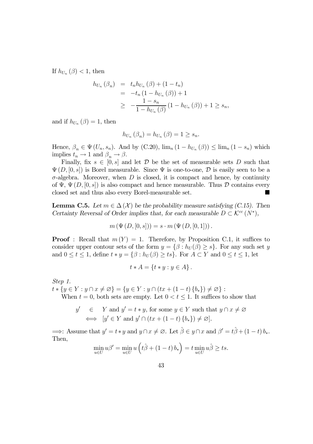If  $h_{U_n}(\beta) < 1$ , then

$$
h_{U_n}(\beta_n) = t_n h_{U_n}(\beta) + (1 - t_n)
$$
  
=  $-t_n (1 - h_{U_n}(\beta)) + 1$   
 $\geq -\frac{1 - s_n}{1 - h_{U_n}(\beta)} (1 - h_{U_n}(\beta)) + 1 \geq s_n,$ 

and if  $h_{U_n}(\beta)=1$ , then

$$
h_{U_n}(\beta_n) = h_{U_n}(\beta) = 1 \ge s_n.
$$

Hence,  $\beta_n \in \Psi(U_n, s_n)$ . And by (C.20),  $\lim_n (1 - h_{U_n}(\beta)) \leq \lim_n (1 - s_n)$  which implies  $t_n \to 1$  and  $\beta_n \to \beta$ .

Finally, fix  $s \in [0, s]$  and let D be the set of measurable sets D such that  $\Psi(D, [0, s])$  is Borel measurable. Since  $\Psi$  is one-to-one,  $D$  is easily seen to be a  $\sigma$ -algebra. Moreover, when D is closed, it is compact and hence, by continuity of  $\Psi$ ,  $\Psi$  (D, [0, s]) is also compact and hence measurable. Thus  $D$  contains every closed set and thus also every Borel-measurable set closed set and thus also every Borel-measurable set.

**Lemma C.5.** Let  $m \in \Delta(\mathcal{X})$  be the probability measure satisfying (C.15). Then Certainty Reversal of Order implies that, for each measurable  $D \subset \mathcal{K}^{cc}(N^*)$ ,

$$
m(\Psi(D, [0, s])) = s \cdot m(\Psi(D, [0, 1]))
$$
.

**Proof**: Recall that  $m(Y) = 1$ . Therefore, by Proposition C.1, it suffices to consider upper contour sets of the form  $y = \{\beta : h_U(\beta) \geq s\}$ . For any such set y and  $0 \leq t \leq 1$ , define  $t * y = {\beta : h_U(\beta) \geq ts}$ . For  $A \subset Y$  and  $0 \leq t \leq 1$ , let

$$
t \ast A = \{ t \ast y : y \in A \}.
$$

Step 1.

 $t * \{y \in Y : y \cap x \neq \emptyset\} = \{y \in Y : y \cap (tx + (1 - t) \{b_*\}) \neq \emptyset\}$ : When  $t = 0$ , both sets are empty. Let  $0 < t \leq 1$ . It suffices to show that

$$
y' \in Y \text{ and } y' = t * y, \text{ for some } y \in Y \text{ such that } y \cap x \neq \emptyset
$$
  

$$
\iff [y' \in Y \text{ and } y' \cap (tx + (1-t)\{b_*\}) \neq \emptyset].
$$

 $\implies$ : Assume that  $y' = t * y$  and  $y \cap x \neq \emptyset$ . Let  $\hat{\beta} \in y \cap x$  and  $\beta' = t\hat{\beta} + (1 - t) b_*$ . Then,

$$
\min_{u \in U} u\beta' = \min_{u \in U} u\left(t\hat{\beta} + (1-t) b_*\right) = t \min_{u \in U} u\hat{\beta} \ge ts.
$$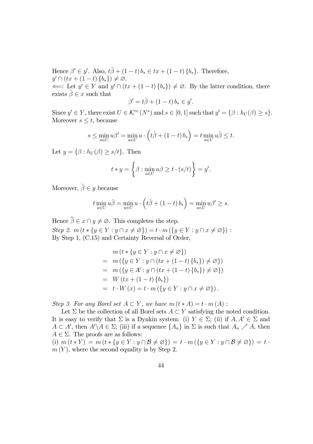Hence  $\beta' \in y'$ . Also,  $t\hat{\beta} + (1-t) b_* \in tx + (1-t) \{b_*\}$ . Therefore,  $y' \cap (tx + (1-t)\{b_*\}) \neq \varnothing.$ 

 $\Leftarrow$ : Let  $y' \in Y$  and  $y' \cap (tx + (1-t) \{b_*\}) \neq \emptyset$ . By the latter condition, there exists  $\hat{\beta} \in x$  such that

$$
\beta' = t\hat{\beta} + (1-t)\,b_* \in y'.
$$

Since  $y' \in Y$ , there exist  $U \in \mathcal{K}^{cc}(N^*)$  and  $s \in [0,1]$  such that  $y' = \{\beta : h_U(\beta) \geq s\}.$ Moreover  $s \leq t$ , because

$$
s \le \min_{u \in U} u\beta' = \min_{u \in U} u \cdot \left(t\hat{\beta} + (1-t) b_*\right) = t \min_{u \in U} u\hat{\beta} \le t.
$$

Let  $y = \{\beta : h_U(\beta) \ge s/t\}$ . Then

$$
t * y = \left\{ \beta : \min_{u \in U} u\beta \ge t \cdot (s/t) \right\} = y'.
$$

Moreover,  $\hat{\beta} \in y$  because

$$
t \min_{u \in U} u \hat{\beta} = \min_{u \in U} u \cdot \left( t \hat{\beta} + (1 - t) b_* \right) = \min_{u \in U} u \beta' \ge s.
$$

Hence  $\beta \in x \cap y \neq \emptyset$ . This completes the step. Step 2.  $m(t * \{y \in Y : y \cap x \neq \emptyset\}) = t \cdot m(\{y \in Y : y \cap x \neq \emptyset\})$ : By Step 1, (C.15) and Certainty Reversal of Order,

$$
m(t * \{y \in Y : y \cap x \neq \emptyset\})
$$
  
=  $m(\{y \in Y : y \cap (tx + (1 - t) \{b_*\}) \neq \emptyset\})$   
=  $m(\{y \in \mathcal{X} : y \cap (tx + (1 - t) \{b_*\}) \neq \emptyset\})$   
=  $W(tx + (1 - t) \{b_*\})$   
=  $t \cdot W(x) = t \cdot m(\{y \in Y : y \cap x \neq \emptyset\}).$ 

Step 3. For any Borel set  $A \subset Y$ , we have  $m(t*A) = t \cdot m(A)$ :

Let  $\Sigma$  be the collection of all Borel sets  $A \subset Y$  satisfying the noted condition. It is easy to verify that  $\Sigma$  is a Dynkin system: (i)  $Y \in \Sigma$ ; (ii) if  $A, A' \in \Sigma$  and  $A \subset A'$ , then  $A' \setminus A \in \Sigma$ ; (iii) if a sequence  $\{A_n\}$  in  $\Sigma$  is such that  $A_n \nearrow A$ , then  $A \in \Sigma$ . The proofs are as follows:

(i)  $m(t * Y) = m(t * \{y \in Y : y \cap B \neq \emptyset\}) = t \cdot m(\{y \in Y : y \cap B \neq \emptyset\}) = t$ .  $m(Y)$ , where the second equality is by Step 2.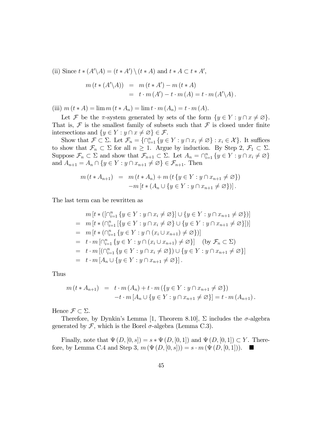(ii) Since  $t * (A' \setminus A) = (t * A') \setminus (t * A)$  and  $t * A \subset t * A'$ ,

$$
m(t*(A'\backslash A)) = m(t*A') - m(t*A)
$$
  
=  $t \cdot m(A') - t \cdot m(A) = t \cdot m(A'\backslash A)$ .

(iii)  $m (t * A) = \lim m (t * A_n) = \lim t \cdot m (A_n) = t \cdot m (A)$ .

Let F be the  $\pi$ -system generated by sets of the form  $\{y \in Y : y \cap x \neq \emptyset\}$ . That is,  $\mathcal F$  is the smallest family of subsets such that  $\mathcal F$  is closed under finite intersections and  $\{y \in Y : y \cap x \neq \emptyset\} \in \mathcal{F}$ .

Show that  $\mathcal{F} \subset \Sigma$ . Let  $\mathcal{F}_n = \{ \cap_{i=1}^n \{y \in Y : y \cap x_i \neq \emptyset \} : x_i \in \mathcal{X} \}$ . It suffices to show that  $\mathcal{F}_n \subset \Sigma$  for all  $n \geq 1$ . Argue by induction. By Step 2,  $\mathcal{F}_1 \subset \Sigma$ . Suppose  $\mathcal{F}_n \subset \Sigma$  and show that  $\mathcal{F}_{n+1} \subset \Sigma$ . Let  $A_n = \cap_{i=1}^n \{y \in Y : y \cap x_i \neq \emptyset\}$ and  $A_{n+1} = A_n \cap \{y \in Y : y \cap x_{n+1} \neq \emptyset\} \in \mathcal{F}_{n+1}$ . Then

$$
m(t * A_{n+1}) = m(t * A_n) + m(t \{ y \in Y : y \cap x_{n+1} \neq \emptyset \})
$$
  
-
$$
-m[t * (A_n \cup \{ y \in Y : y \cap x_{n+1} \neq \emptyset \})].
$$

The last term can be rewritten as

$$
m[t * ([\bigcap_{i=1}^{n} \{y \in Y : y \cap x_{i} \neq \emptyset\}] \cup \{y \in Y : y \cap x_{n+1} \neq \emptyset\})]
$$
\n
$$
= m[t * (\bigcap_{i=1}^{n} [\{y \in Y : y \cap x_{i} \neq \emptyset\} \cup \{y \in Y : y \cap x_{n+1} \neq \emptyset\}])]
$$
\n
$$
= m[t * (\bigcap_{i=1}^{n} \{y \in Y : y \cap (x_{i} \cup x_{n+1}) \neq \emptyset\})]
$$
\n
$$
= t \cdot m[\bigcap_{i=1}^{n} \{y \in Y : y \cap (x_{i} \cup x_{n+1}) \neq \emptyset\}] \quad \text{(by } \mathcal{F}_{n} \subset \Sigma\text{)}
$$
\n
$$
= t \cdot m[(\bigcap_{i=1}^{n} \{y \in Y : y \cap x_{i} \neq \emptyset\}) \cup \{y \in Y : y \cap x_{n+1} \neq \emptyset\}]
$$
\n
$$
= t \cdot m[A_{n} \cup \{y \in Y : y \cap x_{n+1} \neq \emptyset\}].
$$

Thus

$$
m(t * A_{n+1}) = t \cdot m(A_n) + t \cdot m(\lbrace y \in Y : y \cap x_{n+1} \neq \emptyset \rbrace)
$$
  
-t \cdot m[A\_n \cup \lbrace y \in Y : y \cap x\_{n+1} \neq \emptyset \rbrace] = t \cdot m(A\_{n+1}).

Hence  $\mathcal{F} \subset \Sigma$ .

Therefore, by Dynkin's Lemma [1, Theorem 8.10],  $\Sigma$  includes the  $\sigma$ -algebra generated by  $\mathcal F$ , which is the Borel  $\sigma$ -algebra (Lemma C.3).

Finally, note that  $\Psi(D, [0, s]) = s * \Psi(D, [0, 1])$  and  $\Psi(D, [0, 1]) \subset Y$ . Therefore, by Lemma C.4 and Step 3,  $m(\Psi(D, [0, s])) = s \cdot m(\Psi(D, [0, 1]))$ .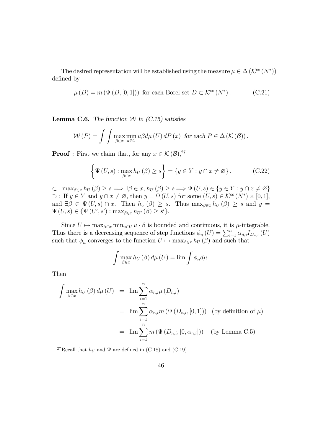The desired representation will be established using the measure  $\mu \in \Delta (\mathcal{K}^{cc} (N^*))$ defined by

$$
\mu(D) = m(\Psi(D, [0, 1])) \text{ for each Borel set } D \subset \mathcal{K}^{cc}(N^*). \tag{C.21}
$$

**Lemma C.6.** The function  $W$  in  $(C.15)$  satisfies

$$
\mathcal{W}(P) = \int \int \max_{\beta \in x} \min_{u \in U} u\beta d\mu(U) dP(x) \text{ for each } P \in \Delta(\mathcal{K}(\mathcal{B})).
$$

**Proof**: First we claim that, for any  $x \in \mathcal{K}(\mathcal{B})$ ,<sup>27</sup>

$$
\left\{\Psi\left(U,s\right): \max_{\beta \in x} h_U\left(\beta\right) \ge s\right\} = \left\{y \in Y : y \cap x \neq \varnothing\right\}.
$$
 (C.22)

 $\subset: \max_{\beta \in x} h_U(\beta) \geq s \Longrightarrow \exists \beta \in x, h_U(\beta) \geq s \Longrightarrow \Psi(U, s) \in \{y \in Y : y \cap x \neq \emptyset\}.$  $\supset$ : If  $y \in Y$  and  $y \cap x \neq \emptyset$ , then  $y = \Psi(U, s)$  for some  $(U, s) \in \mathcal{K}^{cc}(N^*) \times [0, 1]$ , and  $\exists \beta \in \Psi(U, s) \cap x$ . Then  $h_U(\beta) \geq s$ . Thus  $\max_{\beta \in x} h_U(\beta) \geq s$  and  $y =$  $\Psi(U, s) \in {\Psi(U', s') : \max_{\beta \in x} h_{U'}(\beta) \ge s' }$ .

Since  $U \mapsto \max_{\beta \in x} \min_{u \in U} u \cdot \beta$  is bounded and continuous, it is  $\mu$ -integrable. Thus there is a decreasing sequence of step functions  $\phi_n(U) = \sum_{i=1}^n \alpha_{n,i} I_{D_{n,i}}(U)$ such that  $\phi_n$  converges to the function  $U \mapsto \max_{\beta \in x} h_U(\beta)$  and such that

$$
\int \max_{\beta \in x} h_U(\beta) d\mu(U) = \lim \int \phi_n d\mu.
$$

Then

$$
\int \max_{\beta \in x} h_U(\beta) d\mu(U) = \lim_{i=1} \sum_{i=1}^n \alpha_{n,i} \mu(D_{n,i})
$$
  
= 
$$
\lim_{i=1} \sum_{i=1}^n \alpha_{n,i} m(\Psi(D_{n,i}, [0,1]))
$$
 (by definition of  $\mu$ )  
= 
$$
\lim_{i=1} \sum_{i=1}^n m(\Psi(D_{n,i}, [0, \alpha_{n,i}]))
$$
 (by Lemma C.5)

<sup>27</sup>Recall that  $h_U$  and  $\Psi$  are defined in (C.18) and (C.19).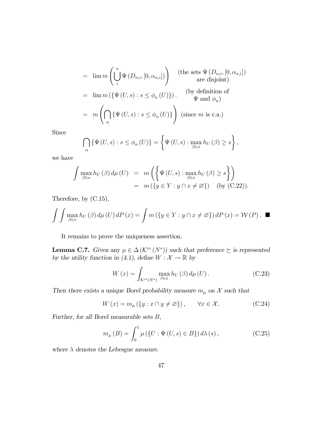$$
= \lim_{n} m\left(\bigcup_{i}^{n} \Psi(D_{n,i}, [0, \alpha_{n,i}])\right) \quad \text{(the sets } \Psi(D_{n,i}, [0, \alpha_{n,i}])
$$
\n
$$
= \lim_{n} m\left(\{\Psi(U, s) : s \le \phi_n(U)\}\right). \quad \text{(by definition of } \Psi \text{ and } \phi_n)
$$
\n
$$
= m\left(\bigcap_{n} \{\Psi(U, s) : s \le \phi_n(U)\}\right) \quad \text{(since } m \text{ is c.a.})
$$

Since

$$
\bigcap_{n} \{\Psi(U, s) : s \le \phi_n(U)\} = \left\{\Psi(U, s) : \max_{\beta \in x} h_U(\beta) \ge s\right\},\
$$

we have

$$
\int \max_{\beta \in x} h_U(\beta) d\mu(U) = m\left(\left\{\Psi(U, s) : \max_{\beta \in x} h_U(\beta) \ge s\right\}\right)
$$
  
=  $m(\left\{y \in Y : y \cap x \neq \emptyset\right\})$  (by (C.22)).

Therefore, by (C.15),

$$
\int \int \max_{\beta \in x} h_U(\beta) d\mu(U) dP(x) = \int m(\lbrace y \in Y : y \cap x \neq \varnothing \rbrace) dP(x) = \mathcal{W}(P).
$$

It remains to prove the uniqueness assertion.

**Lemma C.7.** Given any  $\mu \in \Delta(\mathcal{K}^{cc}(N^*))$  such that preference  $\succeq$  is represented by the utility function in (4.1), define  $W: \mathcal{X} \to \mathbb{R}$  by

$$
W(x) = \int_{\mathcal{K}^{cc}(N^*)} \max_{\beta \in x} h_U(\beta) d\mu(U).
$$
 (C.23)

Then there exists a unique Borel probability measure  $m_{\mu}$  on  $\mathcal{X}$  such that

$$
W(x) = m_{\mu} (\{y : x \cap y \neq \emptyset\}), \qquad \forall x \in \mathcal{X}.
$$
 (C.24)

Further, for all Borel measurable sets B,

$$
m_{\mu}(B) = \int_0^1 \mu(\{U : \Psi(U, s) \in B\}) d\lambda(s), \qquad (C.25)
$$

where  $\lambda$  denotes the Lebesgue measure.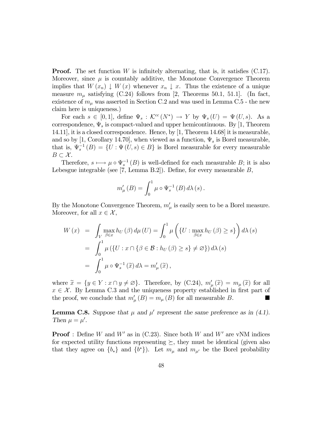**Proof.** The set function W is infinitely alternating, that is, it satisfies  $(C.17)$ . Moreover, since  $\mu$  is countably additive, the Monotone Convergence Theorem implies that  $W(x_n) \downarrow W(x)$  whenever  $x_n \downarrow x$ . Thus the existence of a unique measure  $m_{\mu}$  satisfying (C.24) follows from [2, Theorems 50.1, 51.1]. (In fact, existence of  $m_{\mu}$  was asserted in Section C.2 and was used in Lemma C.5 - the new claim here is uniqueness.)

For each  $s \in [0,1]$ , define  $\Psi_s : \mathcal{K}^{cc}(N^*) \to Y$  by  $\Psi_s(U) = \Psi(U, s)$ . As a correspondence,  $\Psi_s$  is compact-valued and upper hemicontinuous. By [1, Theorem 14.11], it is a closed correspondence. Hence, by [1, Theorem 14.68] it is measurable, and so by [1, Corollary 14.70], when viewed as a function,  $\Psi_s$  is Borel measurable, that is,  $\Psi_s^{-1}(B) = \{U : \Psi(U, s) \in B\}$  is Borel measurable for every measurable  $B \subset \mathcal{X}$ .

Therefore,  $s \mapsto \mu \circ \Psi_s^{-1}(B)$  is well-defined for each measurable  $B$ ; it is also Lebesgue integrable (see [7, Lemma B.2]). Define, for every measurable  $B$ ,

$$
m'_{\mu}(B) = \int_0^1 \mu \circ \Psi_s^{-1}(B) d\lambda(s).
$$

By the Monotone Convergence Theorem,  $m'_{\mu}$  is easily seen to be a Borel measure. Moreover, for all  $x \in \mathcal{X}$ ,

$$
W(x) = \int_{V} \max_{\beta \in x} h_U(\beta) d\mu(U) = \int_0^1 \mu\left(\{U : \max_{\beta \in x} h_U(\beta) \ge s\}\right) d\lambda(s)
$$
  
= 
$$
\int_0^1 \mu\left(\{U : x \cap \{\beta \in \mathcal{B} : h_U(\beta) \ge s\} \neq \varnothing\}\right) d\lambda(s)
$$
  
= 
$$
\int_0^1 \mu \circ \Psi_s^{-1}(\widetilde{x}) d\lambda = m'_\mu(\widetilde{x}),
$$

where  $\widetilde{x} = \{y \in Y : x \cap y \neq \emptyset\}$ . Therefore, by  $(C.24)$ ,  $m'_{\mu}(\widetilde{x}) = m_{\mu}(\widetilde{x})$  for all  $x \in \mathcal{X}$ . By Lemma C.3 and the uniqueness property established in first part of the proof we conclude that  $m'(B) = m_n(B)$  for all measurable B the proof, we conclude that  $m'_{\mu}(B) = m_{\mu}(B)$  for all measurable B.

**Lemma C.8.** Suppose that  $\mu$  and  $\mu'$  represent the same preference as in (4.1). Then  $\mu = \mu'$ .

**Proof** : Define W and W' as in (C.23). Since both W and W' are vNM indices for expected utility functions representing  $\succeq$ , they must be identical (given also that they agree on  $\{b_*\}$  and  $\{b^*\}$ ). Let  $m_\mu$  and  $m_{\mu'}$  be the Borel probability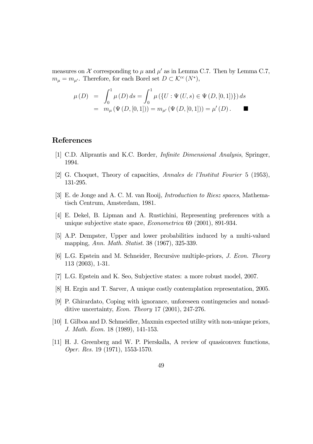measures on X corresponding to  $\mu$  and  $\mu'$  as in Lemma C.7. Then by Lemma C.7,  $m_{\mu} = m_{\mu'}$ . Therefore, for each Borel set  $D \subset \mathcal{K}^{cc}(N^*)$ ,

$$
\mu(D) = \int_0^1 \mu(D) ds = \int_0^1 \mu(\{U : \Psi(U, s) \in \Psi(D, [0, 1])\}) ds
$$
  
=  $m_\mu(\Psi(D, [0, 1])) = m_{\mu'}(\Psi(D, [0, 1])) = \mu'(D).$ 

### References

- [1] C.D. Aliprantis and K.C. Border, Infinite Dimensional Analysis, Springer, 1994.
- [2] G. Choquet, Theory of capacities, Annales de l'Institut Fourier 5 (1953), 131-295.
- [3] E. de Jonge and A. C. M. van Rooij, Introduction to Riesz spaces, Mathematisch Centrum, Amsterdam, 1981.
- [4] E. Dekel, B. Lipman and A. Rustichini, Representing preferences with a unique subjective state space, Econometrica 69 (2001), 891-934.
- [5] A.P. Dempster, Upper and lower probabilities induced by a multi-valued mapping, Ann. Math. Statist. 38 (1967), 325-339.
- [6] L.G. Epstein and M. Schneider, Recursive multiple-priors, J. Econ. Theory 113 (2003), 1-31.
- [7] L.G. Epstein and K. Seo, Subjective states: a more robust model, 2007.
- [8] H. Ergin and T. Sarver, A unique costly contemplation representation, 2005.
- [9] P. Ghirardato, Coping with ignorance, unforeseen contingencies and nonadditive uncertainty, Econ. Theory 17 (2001), 247-276.
- [10] I. Gilboa and D. Schmeidler, Maxmin expected utility with non-unique priors, J. Math. Econ. 18 (1989), 141-153.
- [11] H. J. Greenberg and W. P. Pierskalla, A review of quasiconvex functions, Oper. Res. 19 (1971), 1553-1570.